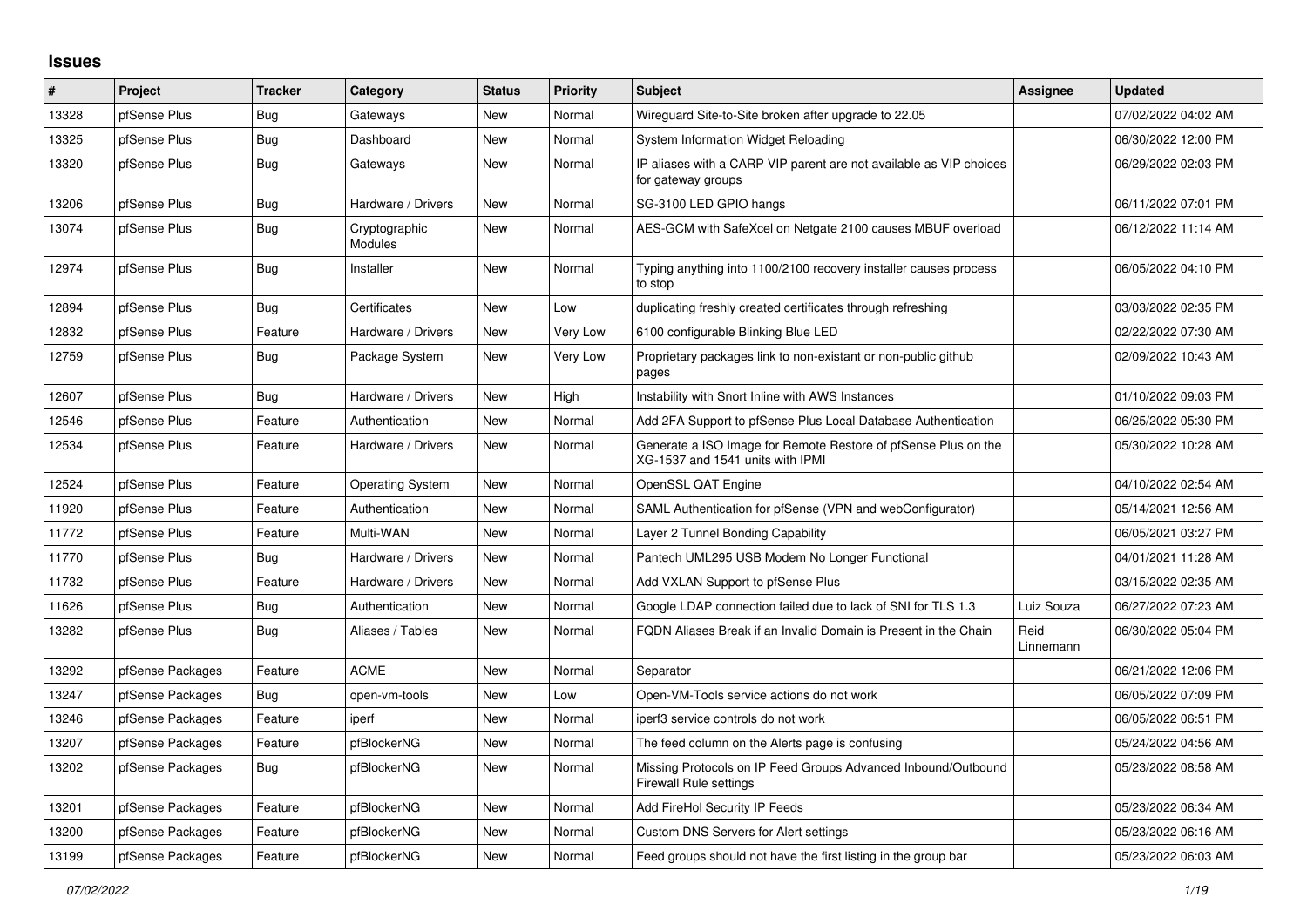## **Issues**

| $\pmb{\#}$ | Project          | <b>Tracker</b> | Category                 | <b>Status</b> | <b>Priority</b> | <b>Subject</b>                                                                                     | Assignee          | <b>Updated</b>      |
|------------|------------------|----------------|--------------------------|---------------|-----------------|----------------------------------------------------------------------------------------------------|-------------------|---------------------|
| 13328      | pfSense Plus     | Bug            | Gateways                 | <b>New</b>    | Normal          | Wireguard Site-to-Site broken after upgrade to 22.05                                               |                   | 07/02/2022 04:02 AM |
| 13325      | pfSense Plus     | Bug            | Dashboard                | <b>New</b>    | Normal          | System Information Widget Reloading                                                                |                   | 06/30/2022 12:00 PM |
| 13320      | pfSense Plus     | <b>Bug</b>     | Gateways                 | New           | Normal          | IP aliases with a CARP VIP parent are not available as VIP choices<br>for gateway groups           |                   | 06/29/2022 02:03 PM |
| 13206      | pfSense Plus     | Bug            | Hardware / Drivers       | <b>New</b>    | Normal          | SG-3100 LED GPIO hangs                                                                             |                   | 06/11/2022 07:01 PM |
| 13074      | pfSense Plus     | <b>Bug</b>     | Cryptographic<br>Modules | <b>New</b>    | Normal          | AES-GCM with SafeXcel on Netgate 2100 causes MBUF overload                                         |                   | 06/12/2022 11:14 AM |
| 12974      | pfSense Plus     | Bug            | Installer                | New           | Normal          | Typing anything into 1100/2100 recovery installer causes process<br>to stop                        |                   | 06/05/2022 04:10 PM |
| 12894      | pfSense Plus     | Bug            | Certificates             | New           | Low             | duplicating freshly created certificates through refreshing                                        |                   | 03/03/2022 02:35 PM |
| 12832      | pfSense Plus     | Feature        | Hardware / Drivers       | New           | Very Low        | 6100 configurable Blinking Blue LED                                                                |                   | 02/22/2022 07:30 AM |
| 12759      | pfSense Plus     | Bug            | Package System           | <b>New</b>    | Very Low        | Proprietary packages link to non-existant or non-public github<br>pages                            |                   | 02/09/2022 10:43 AM |
| 12607      | pfSense Plus     | Bug            | Hardware / Drivers       | New           | High            | Instability with Snort Inline with AWS Instances                                                   |                   | 01/10/2022 09:03 PM |
| 12546      | pfSense Plus     | Feature        | Authentication           | <b>New</b>    | Normal          | Add 2FA Support to pfSense Plus Local Database Authentication                                      |                   | 06/25/2022 05:30 PM |
| 12534      | pfSense Plus     | Feature        | Hardware / Drivers       | <b>New</b>    | Normal          | Generate a ISO Image for Remote Restore of pfSense Plus on the<br>XG-1537 and 1541 units with IPMI |                   | 05/30/2022 10:28 AM |
| 12524      | pfSense Plus     | Feature        | <b>Operating System</b>  | New           | Normal          | OpenSSL QAT Engine                                                                                 |                   | 04/10/2022 02:54 AM |
| 11920      | pfSense Plus     | Feature        | Authentication           | <b>New</b>    | Normal          | SAML Authentication for pfSense (VPN and webConfigurator)                                          |                   | 05/14/2021 12:56 AM |
| 11772      | pfSense Plus     | Feature        | Multi-WAN                | New           | Normal          | Layer 2 Tunnel Bonding Capability                                                                  |                   | 06/05/2021 03:27 PM |
| 11770      | pfSense Plus     | <b>Bug</b>     | Hardware / Drivers       | New           | Normal          | Pantech UML295 USB Modem No Longer Functional                                                      |                   | 04/01/2021 11:28 AM |
| 11732      | pfSense Plus     | Feature        | Hardware / Drivers       | <b>New</b>    | Normal          | Add VXLAN Support to pfSense Plus                                                                  |                   | 03/15/2022 02:35 AM |
| 11626      | pfSense Plus     | Bug            | Authentication           | New           | Normal          | Google LDAP connection failed due to lack of SNI for TLS 1.3                                       | Luiz Souza        | 06/27/2022 07:23 AM |
| 13282      | pfSense Plus     | Bug            | Aliases / Tables         | <b>New</b>    | Normal          | FQDN Aliases Break if an Invalid Domain is Present in the Chain                                    | Reid<br>Linnemann | 06/30/2022 05:04 PM |
| 13292      | pfSense Packages | Feature        | <b>ACME</b>              | <b>New</b>    | Normal          | Separator                                                                                          |                   | 06/21/2022 12:06 PM |
| 13247      | pfSense Packages | Bug            | open-vm-tools            | <b>New</b>    | Low             | Open-VM-Tools service actions do not work                                                          |                   | 06/05/2022 07:09 PM |
| 13246      | pfSense Packages | Feature        | iperf                    | <b>New</b>    | Normal          | iperf3 service controls do not work                                                                |                   | 06/05/2022 06:51 PM |
| 13207      | pfSense Packages | Feature        | pfBlockerNG              | New           | Normal          | The feed column on the Alerts page is confusing                                                    |                   | 05/24/2022 04:56 AM |
| 13202      | pfSense Packages | Bug            | pfBlockerNG              | <b>New</b>    | Normal          | Missing Protocols on IP Feed Groups Advanced Inbound/Outbound<br>Firewall Rule settings            |                   | 05/23/2022 08:58 AM |
| 13201      | pfSense Packages | Feature        | pfBlockerNG              | New           | Normal          | Add FireHol Security IP Feeds                                                                      |                   | 05/23/2022 06:34 AM |
| 13200      | pfSense Packages | Feature        | pfBlockerNG              | <b>New</b>    | Normal          | Custom DNS Servers for Alert settings                                                              |                   | 05/23/2022 06:16 AM |
| 13199      | pfSense Packages | Feature        | pfBlockerNG              | <b>New</b>    | Normal          | Feed groups should not have the first listing in the group bar                                     |                   | 05/23/2022 06:03 AM |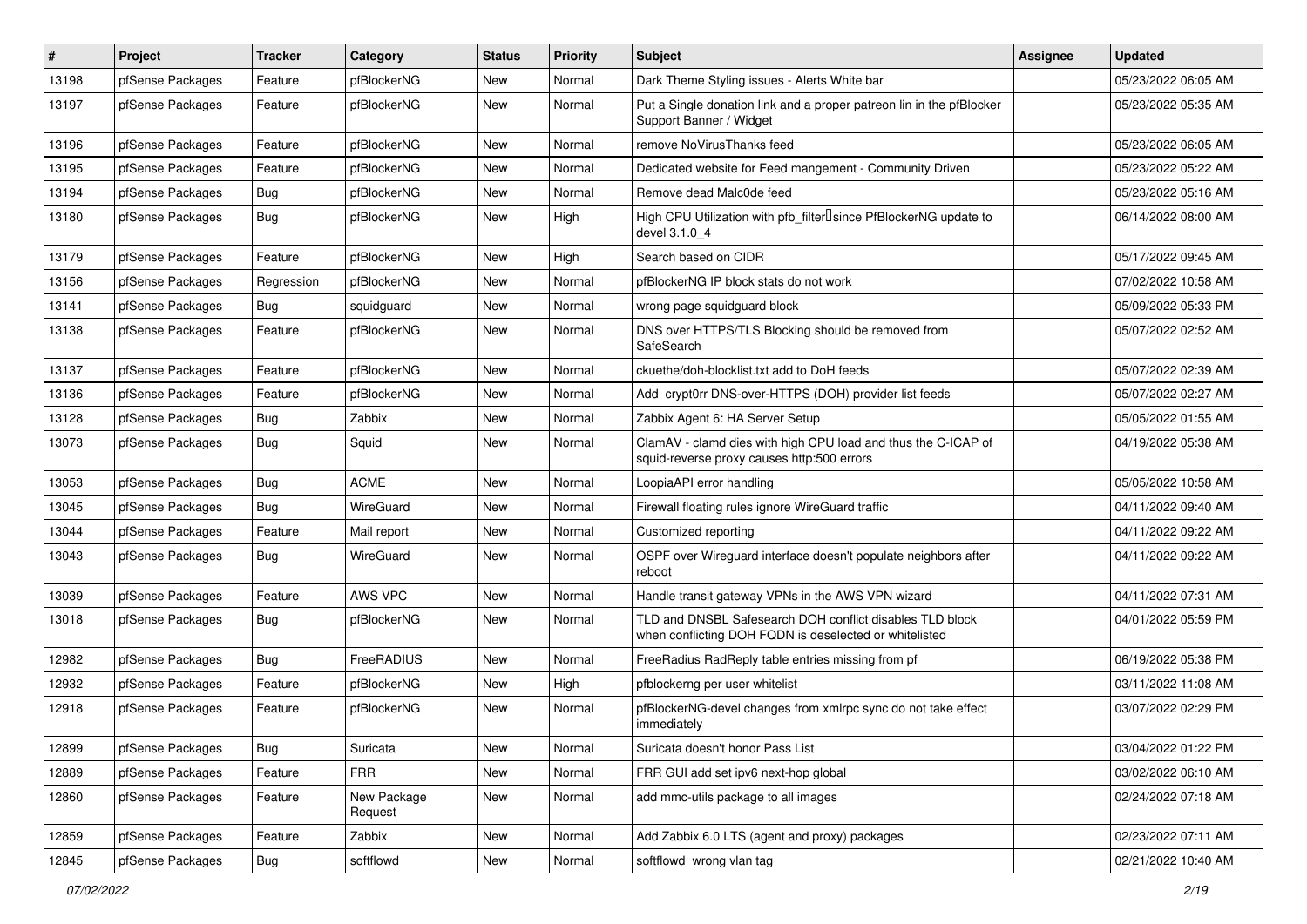| $\vert$ # | Project          | <b>Tracker</b> | Category               | <b>Status</b> | <b>Priority</b> | <b>Subject</b>                                                                                                     | <b>Assignee</b> | <b>Updated</b>      |
|-----------|------------------|----------------|------------------------|---------------|-----------------|--------------------------------------------------------------------------------------------------------------------|-----------------|---------------------|
| 13198     | pfSense Packages | Feature        | pfBlockerNG            | New           | Normal          | Dark Theme Styling issues - Alerts White bar                                                                       |                 | 05/23/2022 06:05 AM |
| 13197     | pfSense Packages | Feature        | pfBlockerNG            | New           | Normal          | Put a Single donation link and a proper patreon lin in the pfBlocker<br>Support Banner / Widget                    |                 | 05/23/2022 05:35 AM |
| 13196     | pfSense Packages | Feature        | pfBlockerNG            | New           | Normal          | remove NoVirusThanks feed                                                                                          |                 | 05/23/2022 06:05 AM |
| 13195     | pfSense Packages | Feature        | pfBlockerNG            | New           | Normal          | Dedicated website for Feed mangement - Community Driven                                                            |                 | 05/23/2022 05:22 AM |
| 13194     | pfSense Packages | <b>Bug</b>     | pfBlockerNG            | New           | Normal          | Remove dead Malc0de feed                                                                                           |                 | 05/23/2022 05:16 AM |
| 13180     | pfSense Packages | <b>Bug</b>     | pfBlockerNG            | New           | High            | High CPU Utilization with pfb_filter <sup>[]</sup> since PfBlockerNG update to<br>devel 3.1.0_4                    |                 | 06/14/2022 08:00 AM |
| 13179     | pfSense Packages | Feature        | pfBlockerNG            | New           | High            | Search based on CIDR                                                                                               |                 | 05/17/2022 09:45 AM |
| 13156     | pfSense Packages | Regression     | pfBlockerNG            | New           | Normal          | pfBlockerNG IP block stats do not work                                                                             |                 | 07/02/2022 10:58 AM |
| 13141     | pfSense Packages | Bug            | squidguard             | New           | Normal          | wrong page squidguard block                                                                                        |                 | 05/09/2022 05:33 PM |
| 13138     | pfSense Packages | Feature        | pfBlockerNG            | New           | Normal          | DNS over HTTPS/TLS Blocking should be removed from<br>SafeSearch                                                   |                 | 05/07/2022 02:52 AM |
| 13137     | pfSense Packages | Feature        | pfBlockerNG            | New           | Normal          | ckuethe/doh-blocklist.txt add to DoH feeds                                                                         |                 | 05/07/2022 02:39 AM |
| 13136     | pfSense Packages | Feature        | pfBlockerNG            | New           | Normal          | Add crypt0rr DNS-over-HTTPS (DOH) provider list feeds                                                              |                 | 05/07/2022 02:27 AM |
| 13128     | pfSense Packages | <b>Bug</b>     | Zabbix                 | <b>New</b>    | Normal          | Zabbix Agent 6: HA Server Setup                                                                                    |                 | 05/05/2022 01:55 AM |
| 13073     | pfSense Packages | <b>Bug</b>     | Squid                  | New           | Normal          | ClamAV - clamd dies with high CPU load and thus the C-ICAP of<br>squid-reverse proxy causes http:500 errors        |                 | 04/19/2022 05:38 AM |
| 13053     | pfSense Packages | Bug            | <b>ACME</b>            | New           | Normal          | LoopiaAPI error handling                                                                                           |                 | 05/05/2022 10:58 AM |
| 13045     | pfSense Packages | Bug            | WireGuard              | <b>New</b>    | Normal          | Firewall floating rules ignore WireGuard traffic                                                                   |                 | 04/11/2022 09:40 AM |
| 13044     | pfSense Packages | Feature        | Mail report            | <b>New</b>    | Normal          | Customized reporting                                                                                               |                 | 04/11/2022 09:22 AM |
| 13043     | pfSense Packages | <b>Bug</b>     | WireGuard              | New           | Normal          | OSPF over Wireguard interface doesn't populate neighbors after<br>reboot                                           |                 | 04/11/2022 09:22 AM |
| 13039     | pfSense Packages | Feature        | AWS VPC                | <b>New</b>    | Normal          | Handle transit gateway VPNs in the AWS VPN wizard                                                                  |                 | 04/11/2022 07:31 AM |
| 13018     | pfSense Packages | <b>Bug</b>     | pfBlockerNG            | New           | Normal          | TLD and DNSBL Safesearch DOH conflict disables TLD block<br>when conflicting DOH FQDN is deselected or whitelisted |                 | 04/01/2022 05:59 PM |
| 12982     | pfSense Packages | Bug            | FreeRADIUS             | New           | Normal          | FreeRadius RadReply table entries missing from pf                                                                  |                 | 06/19/2022 05:38 PM |
| 12932     | pfSense Packages | Feature        | pfBlockerNG            | New           | High            | pfblockerng per user whitelist                                                                                     |                 | 03/11/2022 11:08 AM |
| 12918     | pfSense Packages | Feature        | pfBlockerNG            | New           | Normal          | pfBlockerNG-devel changes from xmlrpc sync do not take effect<br>immediately                                       |                 | 03/07/2022 02:29 PM |
| 12899     | pfSense Packages | <b>Bug</b>     | Suricata               | New           | Normal          | Suricata doesn't honor Pass List                                                                                   |                 | 03/04/2022 01:22 PM |
| 12889     | pfSense Packages | Feature        | <b>FRR</b>             | <b>New</b>    | Normal          | FRR GUI add set ipv6 next-hop global                                                                               |                 | 03/02/2022 06:10 AM |
| 12860     | pfSense Packages | Feature        | New Package<br>Request | New           | Normal          | add mmc-utils package to all images                                                                                |                 | 02/24/2022 07:18 AM |
| 12859     | pfSense Packages | Feature        | Zabbix                 | New           | Normal          | Add Zabbix 6.0 LTS (agent and proxy) packages                                                                      |                 | 02/23/2022 07:11 AM |
| 12845     | pfSense Packages | Bug            | softflowd              | New           | Normal          | softflowd wrong vlan tag                                                                                           |                 | 02/21/2022 10:40 AM |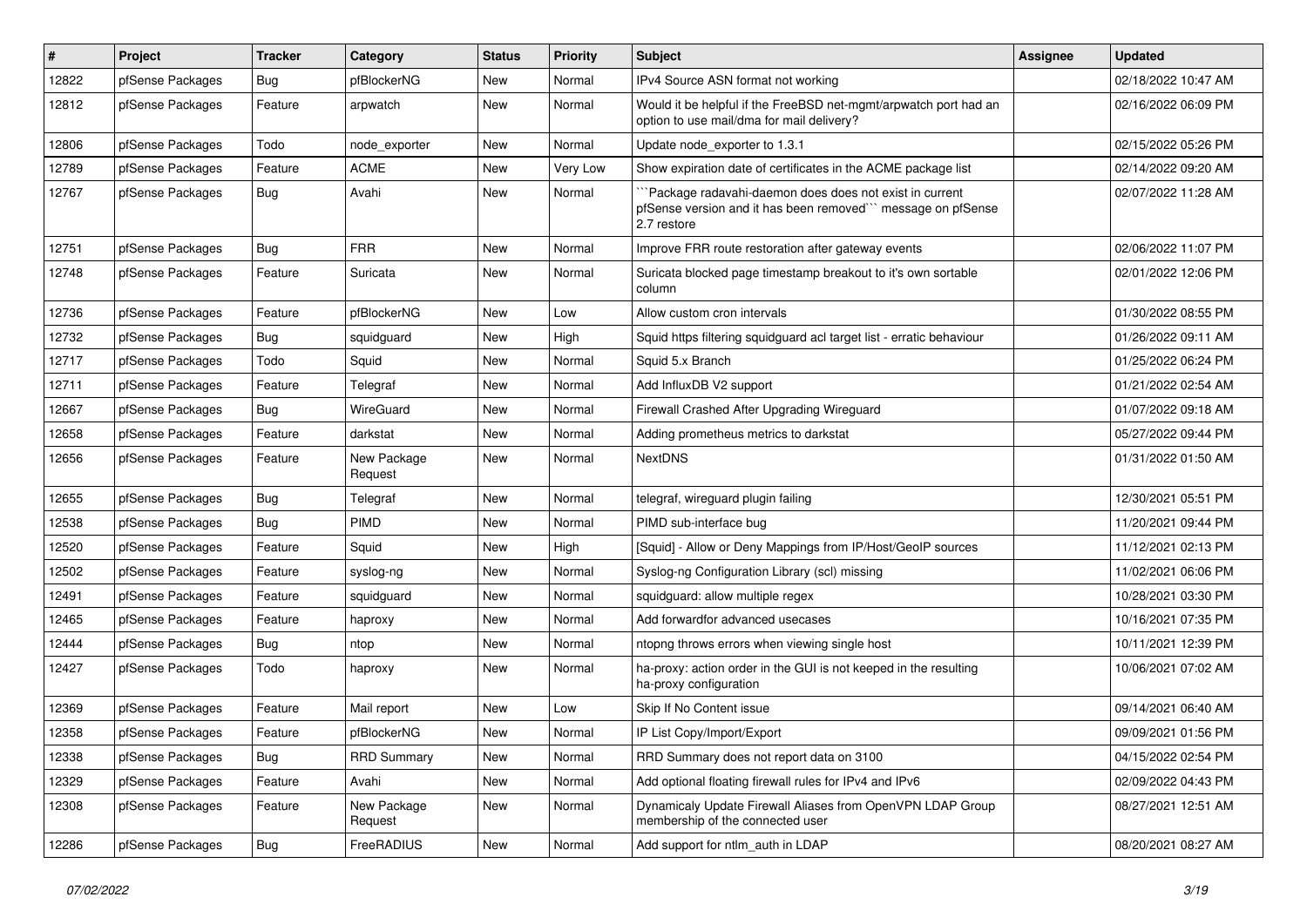| $\sharp$ | Project          | <b>Tracker</b> | Category               | <b>Status</b> | <b>Priority</b> | <b>Subject</b>                                                                                                                       | <b>Assignee</b> | <b>Updated</b>      |
|----------|------------------|----------------|------------------------|---------------|-----------------|--------------------------------------------------------------------------------------------------------------------------------------|-----------------|---------------------|
| 12822    | pfSense Packages | <b>Bug</b>     | pfBlockerNG            | New           | Normal          | IPv4 Source ASN format not working                                                                                                   |                 | 02/18/2022 10:47 AM |
| 12812    | pfSense Packages | Feature        | arpwatch               | <b>New</b>    | Normal          | Would it be helpful if the FreeBSD net-mgmt/arpwatch port had an<br>option to use mail/dma for mail delivery?                        |                 | 02/16/2022 06:09 PM |
| 12806    | pfSense Packages | Todo           | node_exporter          | <b>New</b>    | Normal          | Update node exporter to 1.3.1                                                                                                        |                 | 02/15/2022 05:26 PM |
| 12789    | pfSense Packages | Feature        | <b>ACME</b>            | <b>New</b>    | Very Low        | Show expiration date of certificates in the ACME package list                                                                        |                 | 02/14/2022 09:20 AM |
| 12767    | pfSense Packages | Bug            | Avahi                  | New           | Normal          | Package radavahi-daemon does does not exist in current<br>pfSense version and it has been removed" message on pfSense<br>2.7 restore |                 | 02/07/2022 11:28 AM |
| 12751    | pfSense Packages | <b>Bug</b>     | <b>FRR</b>             | New           | Normal          | Improve FRR route restoration after gateway events                                                                                   |                 | 02/06/2022 11:07 PM |
| 12748    | pfSense Packages | Feature        | Suricata               | New           | Normal          | Suricata blocked page timestamp breakout to it's own sortable<br>column                                                              |                 | 02/01/2022 12:06 PM |
| 12736    | pfSense Packages | Feature        | pfBlockerNG            | New           | Low             | Allow custom cron intervals                                                                                                          |                 | 01/30/2022 08:55 PM |
| 12732    | pfSense Packages | <b>Bug</b>     | squidguard             | <b>New</b>    | High            | Squid https filtering squidguard acl target list - erratic behaviour                                                                 |                 | 01/26/2022 09:11 AM |
| 12717    | pfSense Packages | Todo           | Squid                  | New           | Normal          | Squid 5.x Branch                                                                                                                     |                 | 01/25/2022 06:24 PM |
| 12711    | pfSense Packages | Feature        | Telegraf               | New           | Normal          | Add InfluxDB V2 support                                                                                                              |                 | 01/21/2022 02:54 AM |
| 12667    | pfSense Packages | <b>Bug</b>     | WireGuard              | <b>New</b>    | Normal          | Firewall Crashed After Upgrading Wireguard                                                                                           |                 | 01/07/2022 09:18 AM |
| 12658    | pfSense Packages | Feature        | darkstat               | New           | Normal          | Adding prometheus metrics to darkstat                                                                                                |                 | 05/27/2022 09:44 PM |
| 12656    | pfSense Packages | Feature        | New Package<br>Request | New           | Normal          | <b>NextDNS</b>                                                                                                                       |                 | 01/31/2022 01:50 AM |
| 12655    | pfSense Packages | <b>Bug</b>     | Telegraf               | <b>New</b>    | Normal          | telegraf, wireguard plugin failing                                                                                                   |                 | 12/30/2021 05:51 PM |
| 12538    | pfSense Packages | <b>Bug</b>     | <b>PIMD</b>            | <b>New</b>    | Normal          | PIMD sub-interface bug                                                                                                               |                 | 11/20/2021 09:44 PM |
| 12520    | pfSense Packages | Feature        | Squid                  | New           | High            | [Squid] - Allow or Deny Mappings from IP/Host/GeoIP sources                                                                          |                 | 11/12/2021 02:13 PM |
| 12502    | pfSense Packages | Feature        | syslog-ng              | New           | Normal          | Syslog-ng Configuration Library (scl) missing                                                                                        |                 | 11/02/2021 06:06 PM |
| 12491    | pfSense Packages | Feature        | squidguard             | <b>New</b>    | Normal          | squidguard: allow multiple regex                                                                                                     |                 | 10/28/2021 03:30 PM |
| 12465    | pfSense Packages | Feature        | haproxy                | New           | Normal          | Add forwardfor advanced usecases                                                                                                     |                 | 10/16/2021 07:35 PM |
| 12444    | pfSense Packages | <b>Bug</b>     | ntop                   | <b>New</b>    | Normal          | ntopng throws errors when viewing single host                                                                                        |                 | 10/11/2021 12:39 PM |
| 12427    | pfSense Packages | Todo           | haproxy                | New           | Normal          | ha-proxy: action order in the GUI is not keeped in the resulting<br>ha-proxy configuration                                           |                 | 10/06/2021 07:02 AM |
| 12369    | pfSense Packages | Feature        | Mail report            | <b>New</b>    | Low             | Skip If No Content issue                                                                                                             |                 | 09/14/2021 06:40 AM |
| 12358    | pfSense Packages | Feature        | pfBlockerNG            | New           | Normal          | IP List Copy/Import/Export                                                                                                           |                 | 09/09/2021 01:56 PM |
| 12338    | pfSense Packages | Bug            | <b>RRD Summary</b>     | New           | Normal          | RRD Summary does not report data on 3100                                                                                             |                 | 04/15/2022 02:54 PM |
| 12329    | pfSense Packages | Feature        | Avahi                  | New           | Normal          | Add optional floating firewall rules for IPv4 and IPv6                                                                               |                 | 02/09/2022 04:43 PM |
| 12308    | pfSense Packages | Feature        | New Package<br>Request | New           | Normal          | Dynamicaly Update Firewall Aliases from OpenVPN LDAP Group<br>membership of the connected user                                       |                 | 08/27/2021 12:51 AM |
| 12286    | pfSense Packages | <b>Bug</b>     | FreeRADIUS             | New           | Normal          | Add support for ntlm_auth in LDAP                                                                                                    |                 | 08/20/2021 08:27 AM |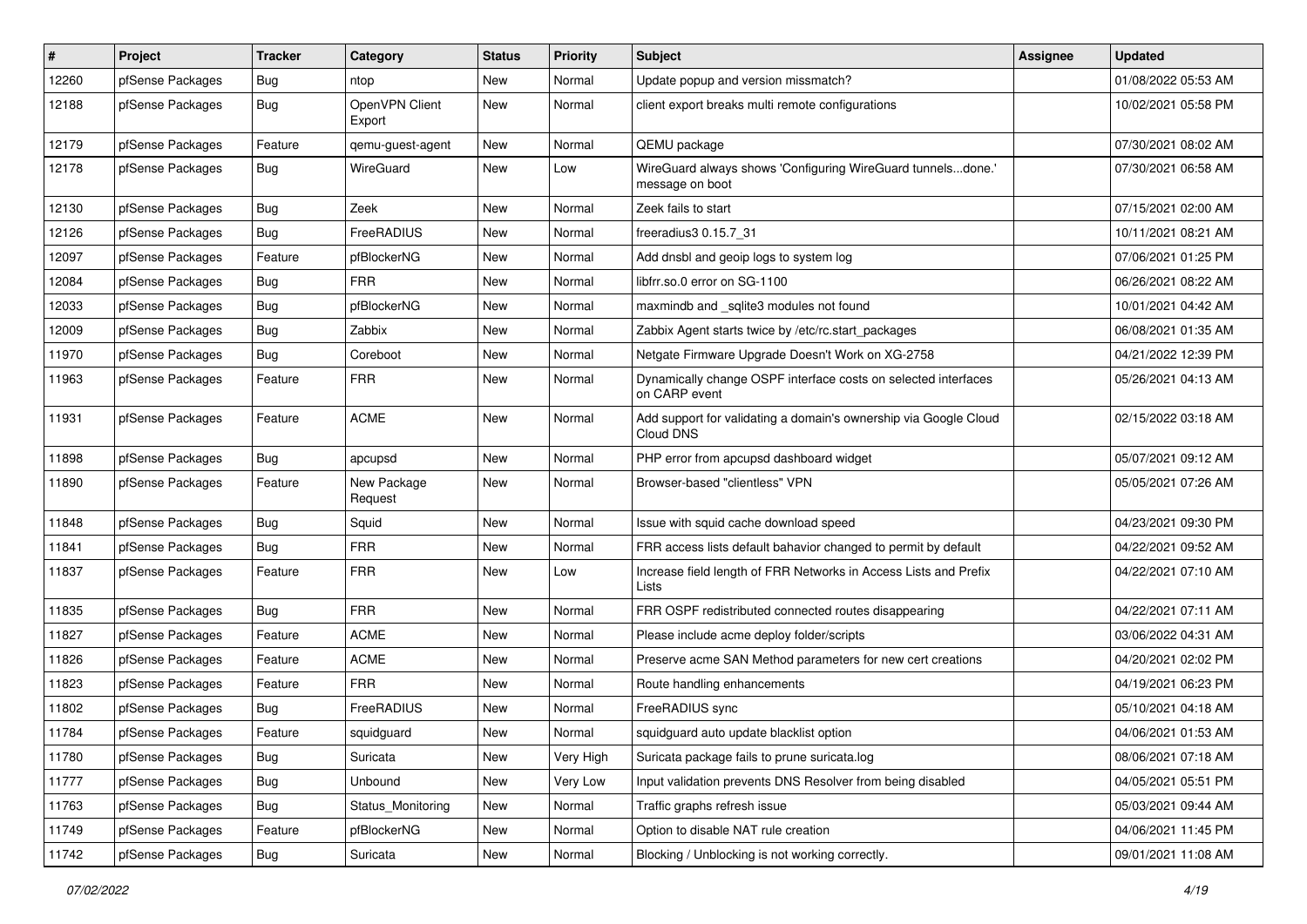| $\pmb{\#}$ | Project          | <b>Tracker</b> | Category                 | <b>Status</b> | <b>Priority</b> | <b>Subject</b>                                                                  | <b>Assignee</b> | <b>Updated</b>      |
|------------|------------------|----------------|--------------------------|---------------|-----------------|---------------------------------------------------------------------------------|-----------------|---------------------|
| 12260      | pfSense Packages | Bug            | ntop                     | New           | Normal          | Update popup and version missmatch?                                             |                 | 01/08/2022 05:53 AM |
| 12188      | pfSense Packages | <b>Bug</b>     | OpenVPN Client<br>Export | New           | Normal          | client export breaks multi remote configurations                                |                 | 10/02/2021 05:58 PM |
| 12179      | pfSense Packages | Feature        | qemu-guest-agent         | New           | Normal          | QEMU package                                                                    |                 | 07/30/2021 08:02 AM |
| 12178      | pfSense Packages | Bug            | WireGuard                | <b>New</b>    | Low             | WireGuard always shows 'Configuring WireGuard tunnelsdone.'<br>message on boot  |                 | 07/30/2021 06:58 AM |
| 12130      | pfSense Packages | <b>Bug</b>     | Zeek                     | New           | Normal          | Zeek fails to start                                                             |                 | 07/15/2021 02:00 AM |
| 12126      | pfSense Packages | <b>Bug</b>     | FreeRADIUS               | New           | Normal          | freeradius3 0.15.7 31                                                           |                 | 10/11/2021 08:21 AM |
| 12097      | pfSense Packages | Feature        | pfBlockerNG              | New           | Normal          | Add dnsbl and geoip logs to system log                                          |                 | 07/06/2021 01:25 PM |
| 12084      | pfSense Packages | <b>Bug</b>     | <b>FRR</b>               | New           | Normal          | libfrr.so.0 error on SG-1100                                                    |                 | 06/26/2021 08:22 AM |
| 12033      | pfSense Packages | <b>Bug</b>     | pfBlockerNG              | New           | Normal          | maxmindb and _sqlite3 modules not found                                         |                 | 10/01/2021 04:42 AM |
| 12009      | pfSense Packages | <b>Bug</b>     | Zabbix                   | New           | Normal          | Zabbix Agent starts twice by /etc/rc.start_packages                             |                 | 06/08/2021 01:35 AM |
| 11970      | pfSense Packages | Bug            | Coreboot                 | New           | Normal          | Netgate Firmware Upgrade Doesn't Work on XG-2758                                |                 | 04/21/2022 12:39 PM |
| 11963      | pfSense Packages | Feature        | <b>FRR</b>               | New           | Normal          | Dynamically change OSPF interface costs on selected interfaces<br>on CARP event |                 | 05/26/2021 04:13 AM |
| 11931      | pfSense Packages | Feature        | <b>ACME</b>              | <b>New</b>    | Normal          | Add support for validating a domain's ownership via Google Cloud<br>Cloud DNS   |                 | 02/15/2022 03:18 AM |
| 11898      | pfSense Packages | Bug            | apcupsd                  | <b>New</b>    | Normal          | PHP error from apcupsd dashboard widget                                         |                 | 05/07/2021 09:12 AM |
| 11890      | pfSense Packages | Feature        | New Package<br>Request   | New           | Normal          | Browser-based "clientless" VPN                                                  |                 | 05/05/2021 07:26 AM |
| 11848      | pfSense Packages | <b>Bug</b>     | Squid                    | <b>New</b>    | Normal          | Issue with squid cache download speed                                           |                 | 04/23/2021 09:30 PM |
| 11841      | pfSense Packages | <b>Bug</b>     | <b>FRR</b>               | New           | Normal          | FRR access lists default bahavior changed to permit by default                  |                 | 04/22/2021 09:52 AM |
| 11837      | pfSense Packages | Feature        | <b>FRR</b>               | New           | Low             | Increase field length of FRR Networks in Access Lists and Prefix<br>Lists       |                 | 04/22/2021 07:10 AM |
| 11835      | pfSense Packages | Bug            | <b>FRR</b>               | New           | Normal          | FRR OSPF redistributed connected routes disappearing                            |                 | 04/22/2021 07:11 AM |
| 11827      | pfSense Packages | Feature        | <b>ACME</b>              | New           | Normal          | Please include acme deploy folder/scripts                                       |                 | 03/06/2022 04:31 AM |
| 11826      | pfSense Packages | Feature        | <b>ACME</b>              | <b>New</b>    | Normal          | Preserve acme SAN Method parameters for new cert creations                      |                 | 04/20/2021 02:02 PM |
| 11823      | pfSense Packages | Feature        | <b>FRR</b>               | New           | Normal          | Route handling enhancements                                                     |                 | 04/19/2021 06:23 PM |
| 11802      | pfSense Packages | <b>Bug</b>     | FreeRADIUS               | <b>New</b>    | Normal          | FreeRADIUS sync                                                                 |                 | 05/10/2021 04:18 AM |
| 11784      | pfSense Packages | Feature        | squidguard               | New           | Normal          | squidguard auto update blacklist option                                         |                 | 04/06/2021 01:53 AM |
| 11780      | pfSense Packages | Bug            | Suricata                 | New           | Very High       | Suricata package fails to prune suricata.log                                    |                 | 08/06/2021 07:18 AM |
| 11777      | pfSense Packages | Bug            | Unbound                  | New           | Very Low        | Input validation prevents DNS Resolver from being disabled                      |                 | 04/05/2021 05:51 PM |
| 11763      | pfSense Packages | <b>Bug</b>     | Status_Monitoring        | New           | Normal          | Traffic graphs refresh issue                                                    |                 | 05/03/2021 09:44 AM |
| 11749      | pfSense Packages | Feature        | pfBlockerNG              | New           | Normal          | Option to disable NAT rule creation                                             |                 | 04/06/2021 11:45 PM |
| 11742      | pfSense Packages | Bug            | Suricata                 | New           | Normal          | Blocking / Unblocking is not working correctly.                                 |                 | 09/01/2021 11:08 AM |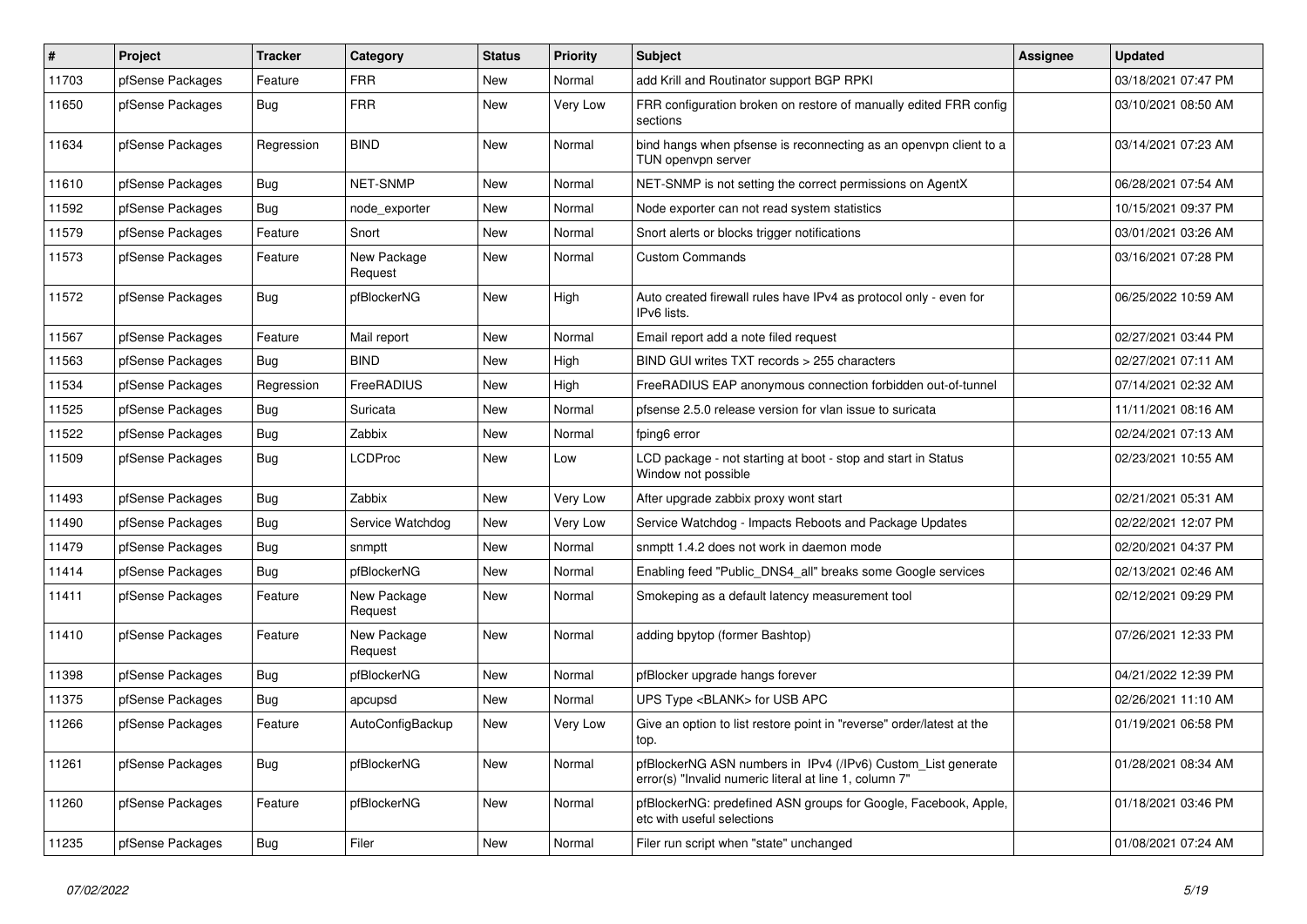| $\vert$ # | Project          | <b>Tracker</b> | Category               | <b>Status</b> | <b>Priority</b> | <b>Subject</b>                                                                                                         | <b>Assignee</b> | <b>Updated</b>      |
|-----------|------------------|----------------|------------------------|---------------|-----------------|------------------------------------------------------------------------------------------------------------------------|-----------------|---------------------|
| 11703     | pfSense Packages | Feature        | <b>FRR</b>             | New           | Normal          | add Krill and Routinator support BGP RPKI                                                                              |                 | 03/18/2021 07:47 PM |
| 11650     | pfSense Packages | Bug            | <b>FRR</b>             | New           | Very Low        | FRR configuration broken on restore of manually edited FRR config<br>sections                                          |                 | 03/10/2021 08:50 AM |
| 11634     | pfSense Packages | Regression     | <b>BIND</b>            | New           | Normal          | bind hangs when pfsense is reconnecting as an openvpn client to a<br>TUN openvpn server                                |                 | 03/14/2021 07:23 AM |
| 11610     | pfSense Packages | Bug            | NET-SNMP               | New           | Normal          | NET-SNMP is not setting the correct permissions on AgentX                                                              |                 | 06/28/2021 07:54 AM |
| 11592     | pfSense Packages | Bug            | node exporter          | New           | Normal          | Node exporter can not read system statistics                                                                           |                 | 10/15/2021 09:37 PM |
| 11579     | pfSense Packages | Feature        | Snort                  | <b>New</b>    | Normal          | Snort alerts or blocks trigger notifications                                                                           |                 | 03/01/2021 03:26 AM |
| 11573     | pfSense Packages | Feature        | New Package<br>Request | New           | Normal          | <b>Custom Commands</b>                                                                                                 |                 | 03/16/2021 07:28 PM |
| 11572     | pfSense Packages | Bug            | pfBlockerNG            | New           | High            | Auto created firewall rules have IPv4 as protocol only - even for<br>IPv6 lists.                                       |                 | 06/25/2022 10:59 AM |
| 11567     | pfSense Packages | Feature        | Mail report            | New           | Normal          | Email report add a note filed request                                                                                  |                 | 02/27/2021 03:44 PM |
| 11563     | pfSense Packages | Bug            | <b>BIND</b>            | New           | High            | BIND GUI writes TXT records > 255 characters                                                                           |                 | 02/27/2021 07:11 AM |
| 11534     | pfSense Packages | Regression     | FreeRADIUS             | New           | High            | FreeRADIUS EAP anonymous connection forbidden out-of-tunnel                                                            |                 | 07/14/2021 02:32 AM |
| 11525     | pfSense Packages | Bug            | Suricata               | New           | Normal          | pfsense 2.5.0 release version for vlan issue to suricata                                                               |                 | 11/11/2021 08:16 AM |
| 11522     | pfSense Packages | Bug            | Zabbix                 | New           | Normal          | fping6 error                                                                                                           |                 | 02/24/2021 07:13 AM |
| 11509     | pfSense Packages | <b>Bug</b>     | LCDProc                | New           | Low             | LCD package - not starting at boot - stop and start in Status<br>Window not possible                                   |                 | 02/23/2021 10:55 AM |
| 11493     | pfSense Packages | <b>Bug</b>     | Zabbix                 | New           | Very Low        | After upgrade zabbix proxy wont start                                                                                  |                 | 02/21/2021 05:31 AM |
| 11490     | pfSense Packages | <b>Bug</b>     | Service Watchdog       | New           | Very Low        | Service Watchdog - Impacts Reboots and Package Updates                                                                 |                 | 02/22/2021 12:07 PM |
| 11479     | pfSense Packages | Bug            | snmptt                 | New           | Normal          | snmptt 1.4.2 does not work in daemon mode                                                                              |                 | 02/20/2021 04:37 PM |
| 11414     | pfSense Packages | <b>Bug</b>     | pfBlockerNG            | New           | Normal          | Enabling feed "Public_DNS4_all" breaks some Google services                                                            |                 | 02/13/2021 02:46 AM |
| 11411     | pfSense Packages | Feature        | New Package<br>Request | New           | Normal          | Smokeping as a default latency measurement tool                                                                        |                 | 02/12/2021 09:29 PM |
| 11410     | pfSense Packages | Feature        | New Package<br>Request | New           | Normal          | adding bpytop (former Bashtop)                                                                                         |                 | 07/26/2021 12:33 PM |
| 11398     | pfSense Packages | Bug            | pfBlockerNG            | New           | Normal          | pfBlocker upgrade hangs forever                                                                                        |                 | 04/21/2022 12:39 PM |
| 11375     | pfSense Packages | <b>Bug</b>     | apcupsd                | New           | Normal          | UPS Type <blank> for USB APC</blank>                                                                                   |                 | 02/26/2021 11:10 AM |
| 11266     | pfSense Packages | Feature        | AutoConfigBackup       | New           | Very Low        | Give an option to list restore point in "reverse" order/latest at the<br>top.                                          |                 | 01/19/2021 06:58 PM |
| 11261     | pfSense Packages | Bug            | pfBlockerNG            | New           | Normal          | pfBlockerNG ASN numbers in IPv4 (/IPv6) Custom_List generate<br>error(s) "Invalid numeric literal at line 1, column 7" |                 | 01/28/2021 08:34 AM |
| 11260     | pfSense Packages | Feature        | pfBlockerNG            | New           | Normal          | pfBlockerNG: predefined ASN groups for Google, Facebook, Apple,<br>etc with useful selections                          |                 | 01/18/2021 03:46 PM |
| 11235     | pfSense Packages | <b>Bug</b>     | Filer                  | New           | Normal          | Filer run script when "state" unchanged                                                                                |                 | 01/08/2021 07:24 AM |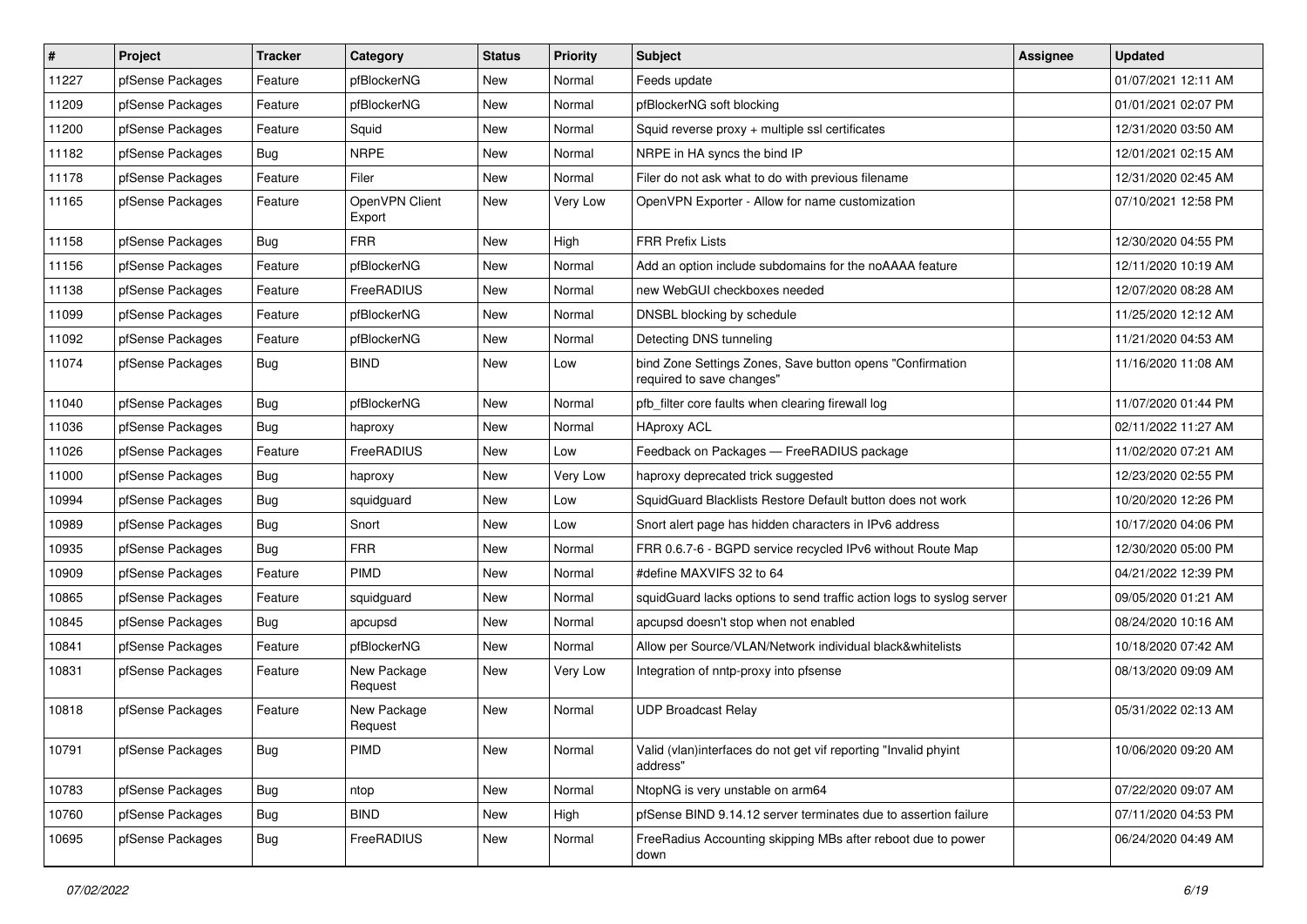| $\vert$ # | Project          | <b>Tracker</b> | Category                 | <b>Status</b> | <b>Priority</b> | Subject                                                                                | <b>Assignee</b> | <b>Updated</b>      |
|-----------|------------------|----------------|--------------------------|---------------|-----------------|----------------------------------------------------------------------------------------|-----------------|---------------------|
| 11227     | pfSense Packages | Feature        | pfBlockerNG              | New           | Normal          | Feeds update                                                                           |                 | 01/07/2021 12:11 AM |
| 11209     | pfSense Packages | Feature        | pfBlockerNG              | New           | Normal          | pfBlockerNG soft blocking                                                              |                 | 01/01/2021 02:07 PM |
| 11200     | pfSense Packages | Feature        | Squid                    | New           | Normal          | Squid reverse proxy + multiple ssl certificates                                        |                 | 12/31/2020 03:50 AM |
| 11182     | pfSense Packages | <b>Bug</b>     | <b>NRPE</b>              | New           | Normal          | NRPE in HA syncs the bind IP                                                           |                 | 12/01/2021 02:15 AM |
| 11178     | pfSense Packages | Feature        | Filer                    | <b>New</b>    | Normal          | Filer do not ask what to do with previous filename                                     |                 | 12/31/2020 02:45 AM |
| 11165     | pfSense Packages | Feature        | OpenVPN Client<br>Export | New           | Very Low        | OpenVPN Exporter - Allow for name customization                                        |                 | 07/10/2021 12:58 PM |
| 11158     | pfSense Packages | Bug            | <b>FRR</b>               | <b>New</b>    | High            | <b>FRR Prefix Lists</b>                                                                |                 | 12/30/2020 04:55 PM |
| 11156     | pfSense Packages | Feature        | pfBlockerNG              | New           | Normal          | Add an option include subdomains for the noAAAA feature                                |                 | 12/11/2020 10:19 AM |
| 11138     | pfSense Packages | Feature        | FreeRADIUS               | <b>New</b>    | Normal          | new WebGUI checkboxes needed                                                           |                 | 12/07/2020 08:28 AM |
| 11099     | pfSense Packages | Feature        | pfBlockerNG              | New           | Normal          | DNSBL blocking by schedule                                                             |                 | 11/25/2020 12:12 AM |
| 11092     | pfSense Packages | Feature        | pfBlockerNG              | New           | Normal          | Detecting DNS tunneling                                                                |                 | 11/21/2020 04:53 AM |
| 11074     | pfSense Packages | Bug            | <b>BIND</b>              | <b>New</b>    | Low             | bind Zone Settings Zones, Save button opens "Confirmation<br>required to save changes" |                 | 11/16/2020 11:08 AM |
| 11040     | pfSense Packages | <b>Bug</b>     | pfBlockerNG              | New           | Normal          | pfb_filter core faults when clearing firewall log                                      |                 | 11/07/2020 01:44 PM |
| 11036     | pfSense Packages | Bug            | haproxy                  | New           | Normal          | <b>HAproxy ACL</b>                                                                     |                 | 02/11/2022 11:27 AM |
| 11026     | pfSense Packages | Feature        | FreeRADIUS               | New           | Low             | Feedback on Packages - FreeRADIUS package                                              |                 | 11/02/2020 07:21 AM |
| 11000     | pfSense Packages | <b>Bug</b>     | haproxy                  | New           | Very Low        | haproxy deprecated trick suggested                                                     |                 | 12/23/2020 02:55 PM |
| 10994     | pfSense Packages | Bug            | squidguard               | New           | Low             | SquidGuard Blacklists Restore Default button does not work                             |                 | 10/20/2020 12:26 PM |
| 10989     | pfSense Packages | <b>Bug</b>     | Snort                    | New           | Low             | Snort alert page has hidden characters in IPv6 address                                 |                 | 10/17/2020 04:06 PM |
| 10935     | pfSense Packages | Bug            | <b>FRR</b>               | <b>New</b>    | Normal          | FRR 0.6.7-6 - BGPD service recycled IPv6 without Route Map                             |                 | 12/30/2020 05:00 PM |
| 10909     | pfSense Packages | Feature        | <b>PIMD</b>              | New           | Normal          | #define MAXVIFS 32 to 64                                                               |                 | 04/21/2022 12:39 PM |
| 10865     | pfSense Packages | Feature        | squidguard               | New           | Normal          | squidGuard lacks options to send traffic action logs to syslog server                  |                 | 09/05/2020 01:21 AM |
| 10845     | pfSense Packages | Bug            | apcupsd                  | New           | Normal          | apcupsd doesn't stop when not enabled                                                  |                 | 08/24/2020 10:16 AM |
| 10841     | pfSense Packages | Feature        | pfBlockerNG              | New           | Normal          | Allow per Source/VLAN/Network individual black&whitelists                              |                 | 10/18/2020 07:42 AM |
| 10831     | pfSense Packages | Feature        | New Package<br>Request   | New           | Very Low        | Integration of nntp-proxy into pfsense                                                 |                 | 08/13/2020 09:09 AM |
| 10818     | pfSense Packages | Feature        | New Package<br>Request   | New           | Normal          | <b>UDP Broadcast Relay</b>                                                             |                 | 05/31/2022 02:13 AM |
| 10791     | pfSense Packages | Bug            | PIMD                     | New           | Normal          | Valid (vlan)interfaces do not get vif reporting "Invalid phyint<br>address"            |                 | 10/06/2020 09:20 AM |
| 10783     | pfSense Packages | <b>Bug</b>     | ntop                     | New           | Normal          | NtopNG is very unstable on arm64                                                       |                 | 07/22/2020 09:07 AM |
| 10760     | pfSense Packages | Bug            | <b>BIND</b>              | New           | High            | pfSense BIND 9.14.12 server terminates due to assertion failure                        |                 | 07/11/2020 04:53 PM |
| 10695     | pfSense Packages | Bug            | FreeRADIUS               | New           | Normal          | FreeRadius Accounting skipping MBs after reboot due to power<br>down                   |                 | 06/24/2020 04:49 AM |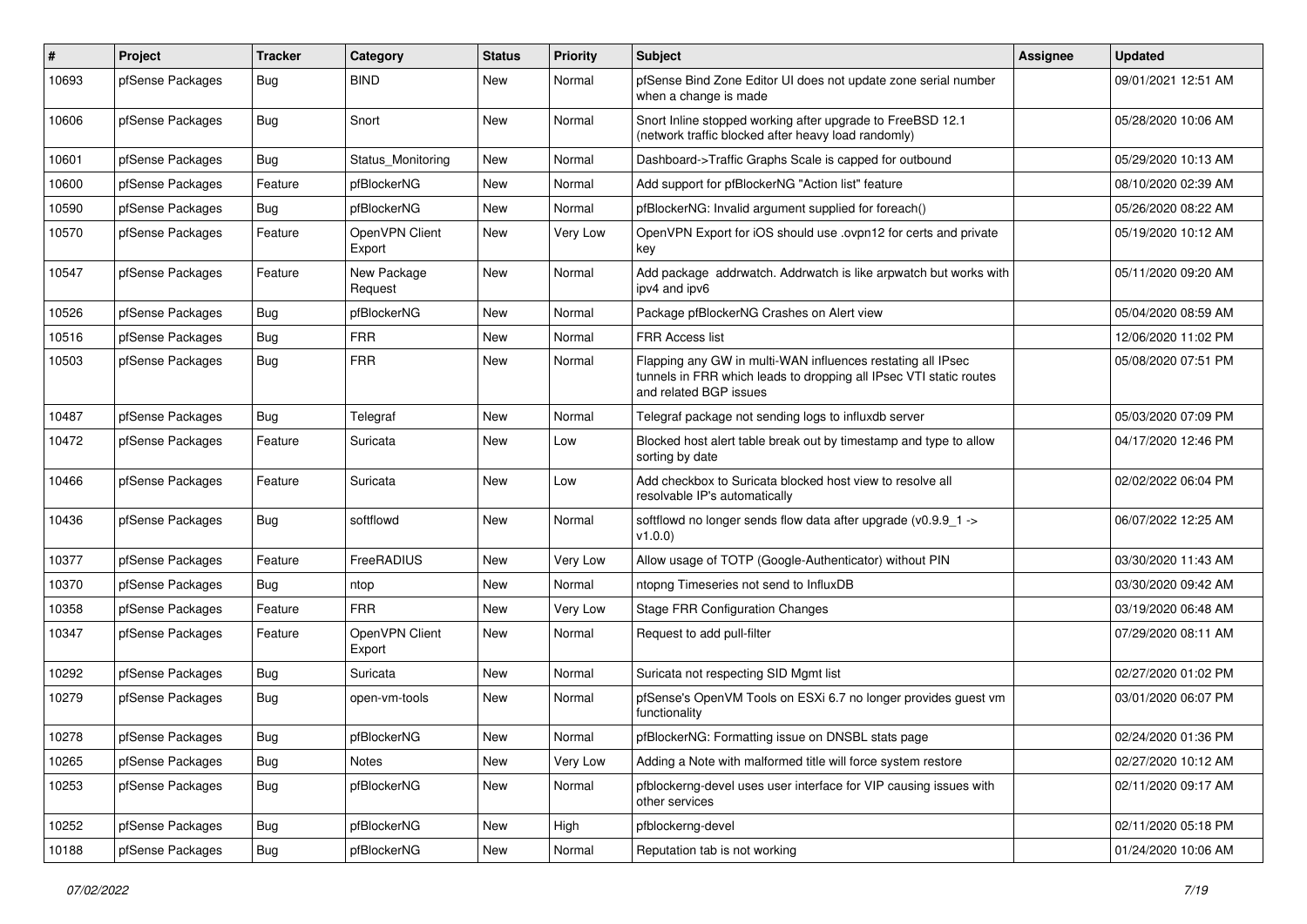| #     | Project          | Tracker    | Category                 | <b>Status</b> | <b>Priority</b> | <b>Subject</b>                                                                                                                                              | <b>Assignee</b> | <b>Updated</b>      |
|-------|------------------|------------|--------------------------|---------------|-----------------|-------------------------------------------------------------------------------------------------------------------------------------------------------------|-----------------|---------------------|
| 10693 | pfSense Packages | Bug        | <b>BIND</b>              | New           | Normal          | pfSense Bind Zone Editor UI does not update zone serial number<br>when a change is made                                                                     |                 | 09/01/2021 12:51 AM |
| 10606 | pfSense Packages | <b>Bug</b> | Snort                    | New           | Normal          | Snort Inline stopped working after upgrade to FreeBSD 12.1<br>(network traffic blocked after heavy load randomly)                                           |                 | 05/28/2020 10:06 AM |
| 10601 | pfSense Packages | Bug        | Status Monitoring        | New           | Normal          | Dashboard->Traffic Graphs Scale is capped for outbound                                                                                                      |                 | 05/29/2020 10:13 AM |
| 10600 | pfSense Packages | Feature    | pfBlockerNG              | New           | Normal          | Add support for pfBlockerNG "Action list" feature                                                                                                           |                 | 08/10/2020 02:39 AM |
| 10590 | pfSense Packages | Bug        | pfBlockerNG              | <b>New</b>    | Normal          | pfBlockerNG: Invalid argument supplied for foreach()                                                                                                        |                 | 05/26/2020 08:22 AM |
| 10570 | pfSense Packages | Feature    | OpenVPN Client<br>Export | New           | Very Low        | OpenVPN Export for iOS should use .ovpn12 for certs and private<br>key                                                                                      |                 | 05/19/2020 10:12 AM |
| 10547 | pfSense Packages | Feature    | New Package<br>Request   | New           | Normal          | Add package addrwatch. Addrwatch is like arpwatch but works with<br>ipv4 and ipv6                                                                           |                 | 05/11/2020 09:20 AM |
| 10526 | pfSense Packages | <b>Bug</b> | pfBlockerNG              | New           | Normal          | Package pfBlockerNG Crashes on Alert view                                                                                                                   |                 | 05/04/2020 08:59 AM |
| 10516 | pfSense Packages | Bug        | <b>FRR</b>               | New           | Normal          | <b>FRR Access list</b>                                                                                                                                      |                 | 12/06/2020 11:02 PM |
| 10503 | pfSense Packages | Bug        | <b>FRR</b>               | New           | Normal          | Flapping any GW in multi-WAN influences restating all IPsec<br>tunnels in FRR which leads to dropping all IPsec VTI static routes<br>and related BGP issues |                 | 05/08/2020 07:51 PM |
| 10487 | pfSense Packages | Bug        | Telegraf                 | New           | Normal          | Telegraf package not sending logs to influxdb server                                                                                                        |                 | 05/03/2020 07:09 PM |
| 10472 | pfSense Packages | Feature    | Suricata                 | New           | Low             | Blocked host alert table break out by timestamp and type to allow<br>sorting by date                                                                        |                 | 04/17/2020 12:46 PM |
| 10466 | pfSense Packages | Feature    | Suricata                 | New           | Low             | Add checkbox to Suricata blocked host view to resolve all<br>resolvable IP's automatically                                                                  |                 | 02/02/2022 06:04 PM |
| 10436 | pfSense Packages | Bug        | softflowd                | New           | Normal          | softflowd no longer sends flow data after upgrade (v0.9.9_1 -><br>v1.0.0)                                                                                   |                 | 06/07/2022 12:25 AM |
| 10377 | pfSense Packages | Feature    | FreeRADIUS               | New           | Very Low        | Allow usage of TOTP (Google-Authenticator) without PIN                                                                                                      |                 | 03/30/2020 11:43 AM |
| 10370 | pfSense Packages | Bug        | ntop                     | New           | Normal          | ntopng Timeseries not send to InfluxDB                                                                                                                      |                 | 03/30/2020 09:42 AM |
| 10358 | pfSense Packages | Feature    | <b>FRR</b>               | New           | Very Low        | <b>Stage FRR Configuration Changes</b>                                                                                                                      |                 | 03/19/2020 06:48 AM |
| 10347 | pfSense Packages | Feature    | OpenVPN Client<br>Export | <b>New</b>    | Normal          | Request to add pull-filter                                                                                                                                  |                 | 07/29/2020 08:11 AM |
| 10292 | pfSense Packages | <b>Bug</b> | Suricata                 | New           | Normal          | Suricata not respecting SID Mgmt list                                                                                                                       |                 | 02/27/2020 01:02 PM |
| 10279 | pfSense Packages | Bug        | open-vm-tools            | New           | Normal          | pfSense's OpenVM Tools on ESXi 6.7 no longer provides guest vm<br>functionality                                                                             |                 | 03/01/2020 06:07 PM |
| 10278 | pfSense Packages | Bug        | pfBlockerNG              | New           | Normal          | pfBlockerNG: Formatting issue on DNSBL stats page                                                                                                           |                 | 02/24/2020 01:36 PM |
| 10265 | pfSense Packages | <b>Bug</b> | Notes                    | New           | Very Low        | Adding a Note with malformed title will force system restore                                                                                                |                 | 02/27/2020 10:12 AM |
| 10253 | pfSense Packages | <b>Bug</b> | pfBlockerNG              | New           | Normal          | pfblockerng-devel uses user interface for VIP causing issues with<br>other services                                                                         |                 | 02/11/2020 09:17 AM |
| 10252 | pfSense Packages | <b>Bug</b> | pfBlockerNG              | New           | High            | pfblockerng-devel                                                                                                                                           |                 | 02/11/2020 05:18 PM |
| 10188 | pfSense Packages | <b>Bug</b> | pfBlockerNG              | New           | Normal          | Reputation tab is not working                                                                                                                               |                 | 01/24/2020 10:06 AM |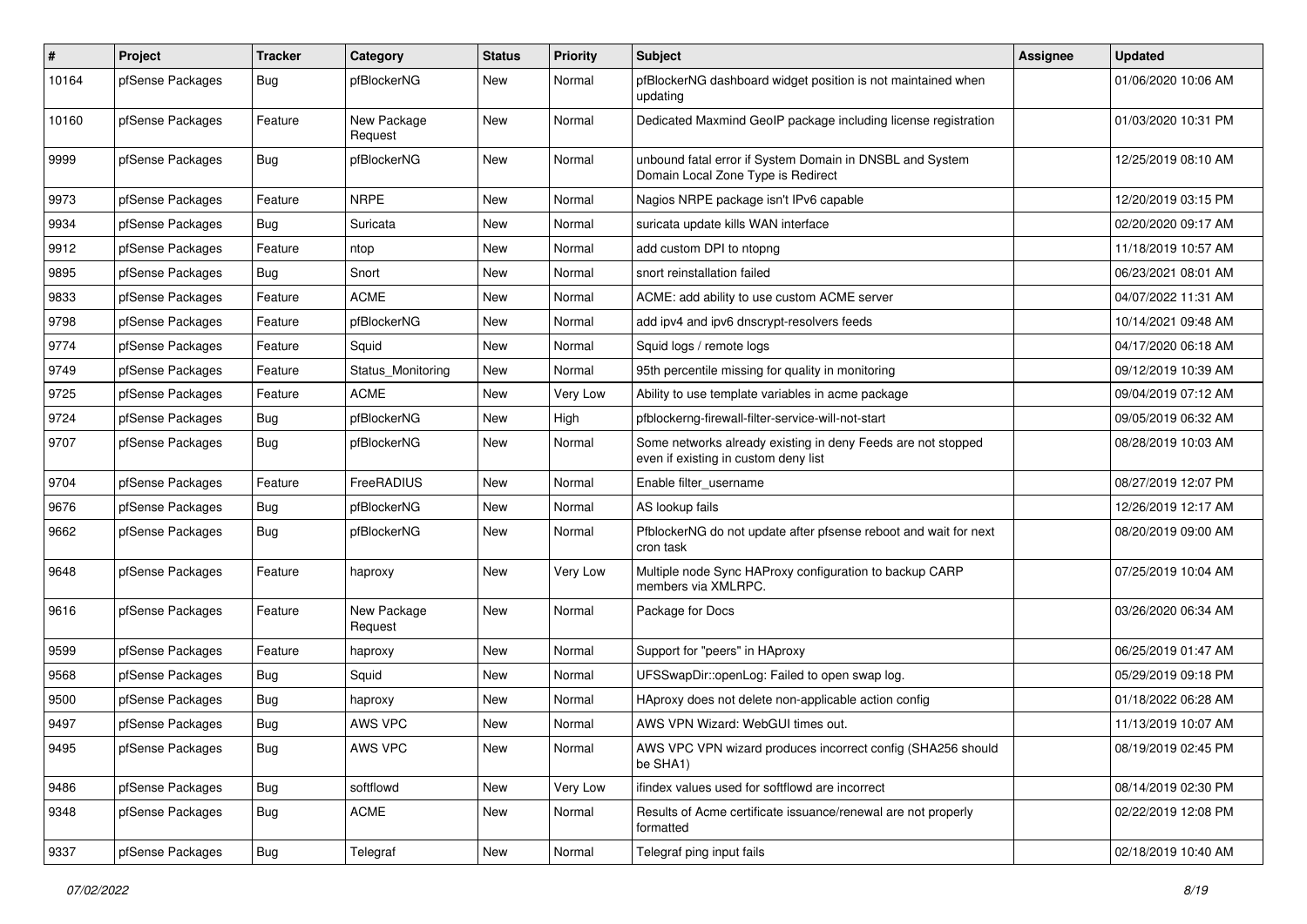| $\vert$ # | Project          | <b>Tracker</b> | Category               | <b>Status</b> | <b>Priority</b> | <b>Subject</b>                                                                                       | Assignee | <b>Updated</b>      |
|-----------|------------------|----------------|------------------------|---------------|-----------------|------------------------------------------------------------------------------------------------------|----------|---------------------|
| 10164     | pfSense Packages | Bug            | pfBlockerNG            | <b>New</b>    | Normal          | pfBlockerNG dashboard widget position is not maintained when<br>updating                             |          | 01/06/2020 10:06 AM |
| 10160     | pfSense Packages | Feature        | New Package<br>Request | New           | Normal          | Dedicated Maxmind GeoIP package including license registration                                       |          | 01/03/2020 10:31 PM |
| 9999      | pfSense Packages | <b>Bug</b>     | pfBlockerNG            | <b>New</b>    | Normal          | unbound fatal error if System Domain in DNSBL and System<br>Domain Local Zone Type is Redirect       |          | 12/25/2019 08:10 AM |
| 9973      | pfSense Packages | Feature        | <b>NRPE</b>            | New           | Normal          | Nagios NRPE package isn't IPv6 capable                                                               |          | 12/20/2019 03:15 PM |
| 9934      | pfSense Packages | <b>Bug</b>     | Suricata               | <b>New</b>    | Normal          | suricata update kills WAN interface                                                                  |          | 02/20/2020 09:17 AM |
| 9912      | pfSense Packages | Feature        | ntop                   | <b>New</b>    | Normal          | add custom DPI to ntopng                                                                             |          | 11/18/2019 10:57 AM |
| 9895      | pfSense Packages | <b>Bug</b>     | Snort                  | New           | Normal          | snort reinstallation failed                                                                          |          | 06/23/2021 08:01 AM |
| 9833      | pfSense Packages | Feature        | <b>ACME</b>            | New           | Normal          | ACME: add ability to use custom ACME server                                                          |          | 04/07/2022 11:31 AM |
| 9798      | pfSense Packages | Feature        | pfBlockerNG            | <b>New</b>    | Normal          | add ipv4 and ipv6 dnscrypt-resolvers feeds                                                           |          | 10/14/2021 09:48 AM |
| 9774      | pfSense Packages | Feature        | Squid                  | New           | Normal          | Squid logs / remote logs                                                                             |          | 04/17/2020 06:18 AM |
| 9749      | pfSense Packages | Feature        | Status_Monitoring      | New           | Normal          | 95th percentile missing for quality in monitoring                                                    |          | 09/12/2019 10:39 AM |
| 9725      | pfSense Packages | Feature        | <b>ACME</b>            | <b>New</b>    | Very Low        | Ability to use template variables in acme package                                                    |          | 09/04/2019 07:12 AM |
| 9724      | pfSense Packages | <b>Bug</b>     | pfBlockerNG            | <b>New</b>    | High            | pfblockerng-firewall-filter-service-will-not-start                                                   |          | 09/05/2019 06:32 AM |
| 9707      | pfSense Packages | <b>Bug</b>     | pfBlockerNG            | New           | Normal          | Some networks already existing in deny Feeds are not stopped<br>even if existing in custom deny list |          | 08/28/2019 10:03 AM |
| 9704      | pfSense Packages | Feature        | FreeRADIUS             | <b>New</b>    | Normal          | Enable filter_username                                                                               |          | 08/27/2019 12:07 PM |
| 9676      | pfSense Packages | <b>Bug</b>     | pfBlockerNG            | <b>New</b>    | Normal          | AS lookup fails                                                                                      |          | 12/26/2019 12:17 AM |
| 9662      | pfSense Packages | <b>Bug</b>     | pfBlockerNG            | <b>New</b>    | Normal          | PfblockerNG do not update after pfsense reboot and wait for next<br>cron task                        |          | 08/20/2019 09:00 AM |
| 9648      | pfSense Packages | Feature        | haproxy                | New           | Very Low        | Multiple node Sync HAProxy configuration to backup CARP<br>members via XMLRPC.                       |          | 07/25/2019 10:04 AM |
| 9616      | pfSense Packages | Feature        | New Package<br>Request | New           | Normal          | Package for Docs                                                                                     |          | 03/26/2020 06:34 AM |
| 9599      | pfSense Packages | Feature        | haproxy                | New           | Normal          | Support for "peers" in HAproxy                                                                       |          | 06/25/2019 01:47 AM |
| 9568      | pfSense Packages | <b>Bug</b>     | Squid                  | <b>New</b>    | Normal          | UFSSwapDir::openLog: Failed to open swap log.                                                        |          | 05/29/2019 09:18 PM |
| 9500      | pfSense Packages | <b>Bug</b>     | haproxy                | <b>New</b>    | Normal          | HAproxy does not delete non-applicable action config                                                 |          | 01/18/2022 06:28 AM |
| 9497      | pfSense Packages | <b>Bug</b>     | AWS VPC                | New           | Normal          | AWS VPN Wizard: WebGUI times out.                                                                    |          | 11/13/2019 10:07 AM |
| 9495      | pfSense Packages | <b>Bug</b>     | AWS VPC                | New           | Normal          | AWS VPC VPN wizard produces incorrect config (SHA256 should<br>be SHA1)                              |          | 08/19/2019 02:45 PM |
| 9486      | pfSense Packages | <b>Bug</b>     | softflowd              | New           | Very Low        | ifindex values used for softflowd are incorrect                                                      |          | 08/14/2019 02:30 PM |
| 9348      | pfSense Packages | <b>Bug</b>     | <b>ACME</b>            | New           | Normal          | Results of Acme certificate issuance/renewal are not properly<br>formatted                           |          | 02/22/2019 12:08 PM |
| 9337      | pfSense Packages | <b>Bug</b>     | Telegraf               | New           | Normal          | Telegraf ping input fails                                                                            |          | 02/18/2019 10:40 AM |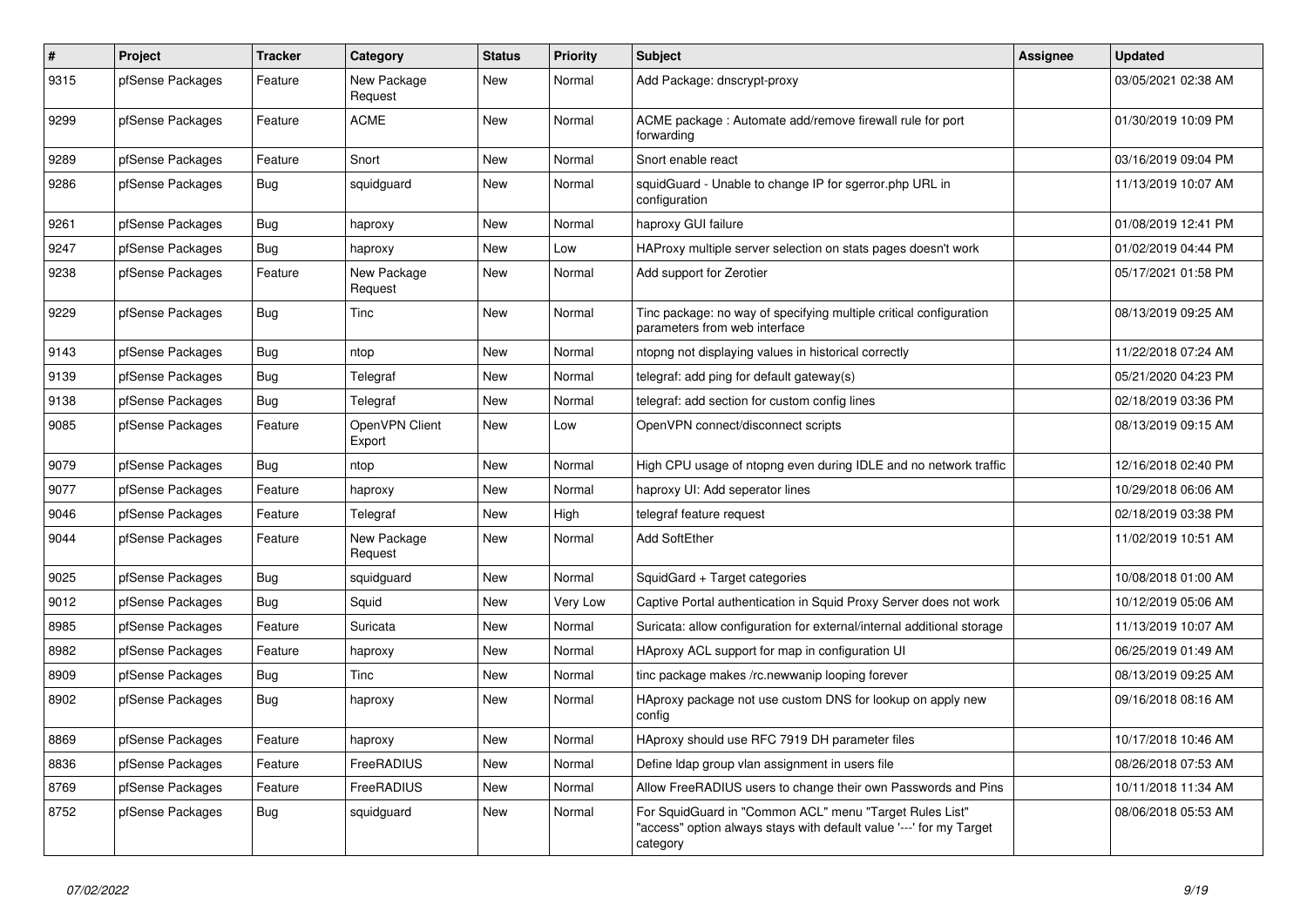| $\pmb{\#}$ | Project          | <b>Tracker</b> | Category                 | <b>Status</b> | <b>Priority</b> | <b>Subject</b>                                                                                                                             | <b>Assignee</b> | <b>Updated</b>      |
|------------|------------------|----------------|--------------------------|---------------|-----------------|--------------------------------------------------------------------------------------------------------------------------------------------|-----------------|---------------------|
| 9315       | pfSense Packages | Feature        | New Package<br>Request   | <b>New</b>    | Normal          | Add Package: dnscrypt-proxy                                                                                                                |                 | 03/05/2021 02:38 AM |
| 9299       | pfSense Packages | Feature        | <b>ACME</b>              | <b>New</b>    | Normal          | ACME package: Automate add/remove firewall rule for port<br>forwarding                                                                     |                 | 01/30/2019 10:09 PM |
| 9289       | pfSense Packages | Feature        | Snort                    | <b>New</b>    | Normal          | Snort enable react                                                                                                                         |                 | 03/16/2019 09:04 PM |
| 9286       | pfSense Packages | Bug            | squidguard               | <b>New</b>    | Normal          | squidGuard - Unable to change IP for sgerror.php URL in<br>configuration                                                                   |                 | 11/13/2019 10:07 AM |
| 9261       | pfSense Packages | Bug            | haproxy                  | <b>New</b>    | Normal          | haproxy GUI failure                                                                                                                        |                 | 01/08/2019 12:41 PM |
| 9247       | pfSense Packages | Bug            | haproxy                  | <b>New</b>    | Low             | HAProxy multiple server selection on stats pages doesn't work                                                                              |                 | 01/02/2019 04:44 PM |
| 9238       | pfSense Packages | Feature        | New Package<br>Request   | New           | Normal          | Add support for Zerotier                                                                                                                   |                 | 05/17/2021 01:58 PM |
| 9229       | pfSense Packages | Bug            | Tinc                     | <b>New</b>    | Normal          | Tinc package: no way of specifying multiple critical configuration<br>parameters from web interface                                        |                 | 08/13/2019 09:25 AM |
| 9143       | pfSense Packages | Bug            | ntop                     | New           | Normal          | ntopng not displaying values in historical correctly                                                                                       |                 | 11/22/2018 07:24 AM |
| 9139       | pfSense Packages | Bug            | Telegraf                 | <b>New</b>    | Normal          | telegraf: add ping for default gateway(s)                                                                                                  |                 | 05/21/2020 04:23 PM |
| 9138       | pfSense Packages | Bug            | Telegraf                 | <b>New</b>    | Normal          | telegraf: add section for custom config lines                                                                                              |                 | 02/18/2019 03:36 PM |
| 9085       | pfSense Packages | Feature        | OpenVPN Client<br>Export | <b>New</b>    | Low             | OpenVPN connect/disconnect scripts                                                                                                         |                 | 08/13/2019 09:15 AM |
| 9079       | pfSense Packages | Bug            | ntop                     | <b>New</b>    | Normal          | High CPU usage of ntopng even during IDLE and no network traffic                                                                           |                 | 12/16/2018 02:40 PM |
| 9077       | pfSense Packages | Feature        | haproxy                  | <b>New</b>    | Normal          | haproxy UI: Add seperator lines                                                                                                            |                 | 10/29/2018 06:06 AM |
| 9046       | pfSense Packages | Feature        | Telegraf                 | <b>New</b>    | High            | telegraf feature request                                                                                                                   |                 | 02/18/2019 03:38 PM |
| 9044       | pfSense Packages | Feature        | New Package<br>Request   | <b>New</b>    | Normal          | <b>Add SoftEther</b>                                                                                                                       |                 | 11/02/2019 10:51 AM |
| 9025       | pfSense Packages | <b>Bug</b>     | squidguard               | <b>New</b>    | Normal          | SquidGard + Target categories                                                                                                              |                 | 10/08/2018 01:00 AM |
| 9012       | pfSense Packages | Bug            | Sauid                    | <b>New</b>    | Very Low        | Captive Portal authentication in Squid Proxy Server does not work                                                                          |                 | 10/12/2019 05:06 AM |
| 8985       | pfSense Packages | Feature        | Suricata                 | <b>New</b>    | Normal          | Suricata: allow configuration for external/internal additional storage                                                                     |                 | 11/13/2019 10:07 AM |
| 8982       | pfSense Packages | Feature        | haproxy                  | <b>New</b>    | Normal          | HAproxy ACL support for map in configuration UI                                                                                            |                 | 06/25/2019 01:49 AM |
| 8909       | pfSense Packages | Bug            | Tinc                     | <b>New</b>    | Normal          | tinc package makes /rc.newwanip looping forever                                                                                            |                 | 08/13/2019 09:25 AM |
| 8902       | pfSense Packages | Bug            | haproxy                  | New           | Normal          | HAproxy package not use custom DNS for lookup on apply new<br>config                                                                       |                 | 09/16/2018 08:16 AM |
| 8869       | pfSense Packages | Feature        | haproxy                  | <b>New</b>    | Normal          | HAproxy should use RFC 7919 DH parameter files                                                                                             |                 | 10/17/2018 10:46 AM |
| 8836       | pfSense Packages | Feature        | FreeRADIUS               | <b>New</b>    | Normal          | Define Idap group vlan assignment in users file                                                                                            |                 | 08/26/2018 07:53 AM |
| 8769       | pfSense Packages | Feature        | FreeRADIUS               | <b>New</b>    | Normal          | Allow FreeRADIUS users to change their own Passwords and Pins                                                                              |                 | 10/11/2018 11:34 AM |
| 8752       | pfSense Packages | <b>Bug</b>     | squidguard               | <b>New</b>    | Normal          | For SquidGuard in "Common ACL" menu "Target Rules List"<br>"access" option always stays with default value '---' for my Target<br>category |                 | 08/06/2018 05:53 AM |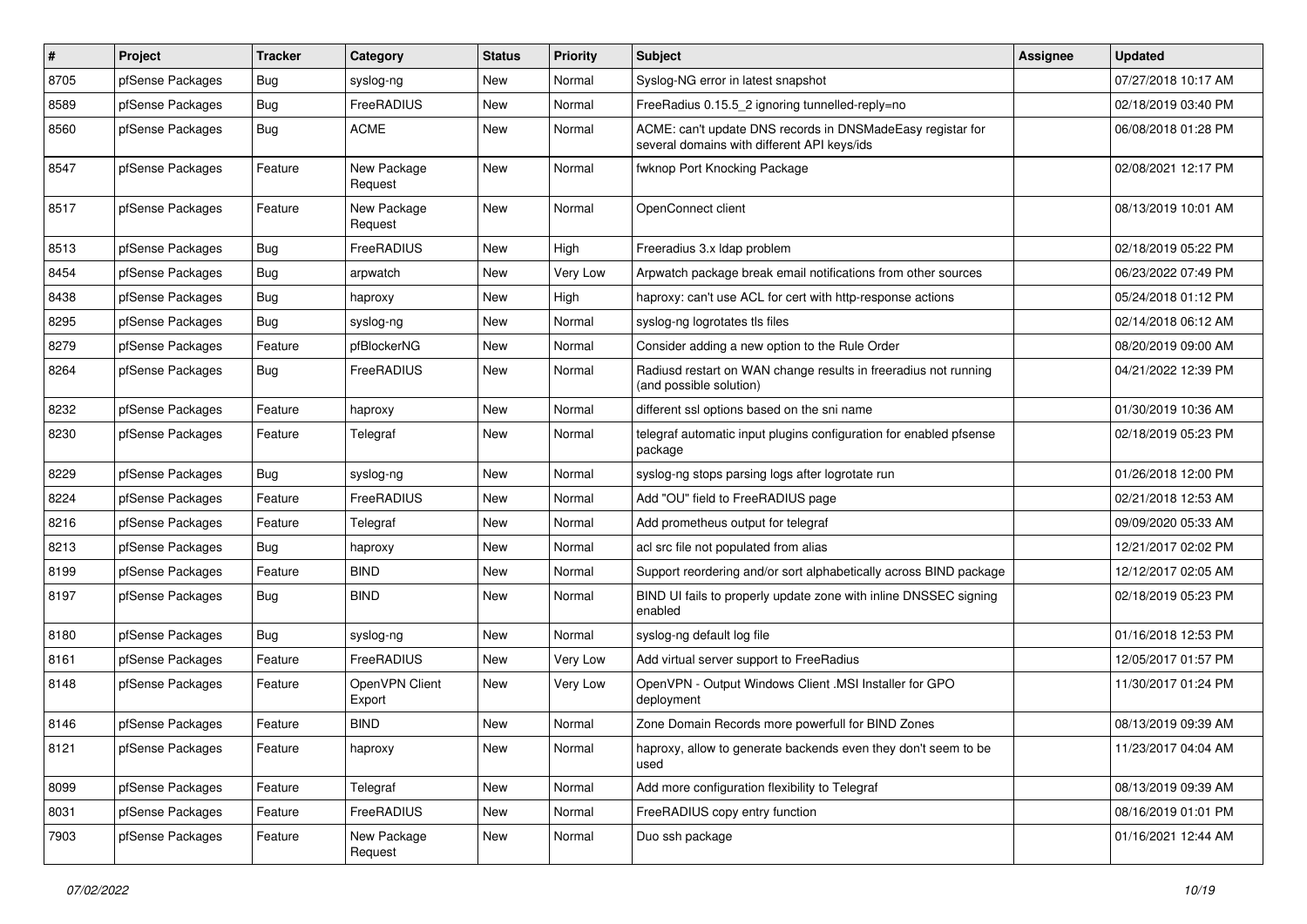| $\vert$ # | Project          | <b>Tracker</b> | Category                 | <b>Status</b> | <b>Priority</b> | Subject                                                                                                   | Assignee | <b>Updated</b>      |
|-----------|------------------|----------------|--------------------------|---------------|-----------------|-----------------------------------------------------------------------------------------------------------|----------|---------------------|
| 8705      | pfSense Packages | <b>Bug</b>     | syslog-ng                | New           | Normal          | Syslog-NG error in latest snapshot                                                                        |          | 07/27/2018 10:17 AM |
| 8589      | pfSense Packages | Bug            | FreeRADIUS               | New           | Normal          | FreeRadius 0.15.5 2 ignoring tunnelled-reply=no                                                           |          | 02/18/2019 03:40 PM |
| 8560      | pfSense Packages | Bug            | <b>ACME</b>              | New           | Normal          | ACME: can't update DNS records in DNSMadeEasy registar for<br>several domains with different API keys/ids |          | 06/08/2018 01:28 PM |
| 8547      | pfSense Packages | Feature        | New Package<br>Request   | New           | Normal          | fwknop Port Knocking Package                                                                              |          | 02/08/2021 12:17 PM |
| 8517      | pfSense Packages | Feature        | New Package<br>Request   | New           | Normal          | OpenConnect client                                                                                        |          | 08/13/2019 10:01 AM |
| 8513      | pfSense Packages | Bug            | FreeRADIUS               | New           | High            | Freeradius 3.x Idap problem                                                                               |          | 02/18/2019 05:22 PM |
| 8454      | pfSense Packages | Bug            | arpwatch                 | New           | Very Low        | Arpwatch package break email notifications from other sources                                             |          | 06/23/2022 07:49 PM |
| 8438      | pfSense Packages | <b>Bug</b>     | haproxy                  | New           | High            | haproxy: can't use ACL for cert with http-response actions                                                |          | 05/24/2018 01:12 PM |
| 8295      | pfSense Packages | Bug            | syslog-ng                | New           | Normal          | syslog-ng logrotates tls files                                                                            |          | 02/14/2018 06:12 AM |
| 8279      | pfSense Packages | Feature        | pfBlockerNG              | New           | Normal          | Consider adding a new option to the Rule Order                                                            |          | 08/20/2019 09:00 AM |
| 8264      | pfSense Packages | Bug            | FreeRADIUS               | New           | Normal          | Radiusd restart on WAN change results in freeradius not running<br>(and possible solution)                |          | 04/21/2022 12:39 PM |
| 8232      | pfSense Packages | Feature        | haproxy                  | <b>New</b>    | Normal          | different ssl options based on the sni name                                                               |          | 01/30/2019 10:36 AM |
| 8230      | pfSense Packages | Feature        | Telegraf                 | New           | Normal          | telegraf automatic input plugins configuration for enabled pfsense<br>package                             |          | 02/18/2019 05:23 PM |
| 8229      | pfSense Packages | Bug            | syslog-ng                | <b>New</b>    | Normal          | syslog-ng stops parsing logs after logrotate run                                                          |          | 01/26/2018 12:00 PM |
| 8224      | pfSense Packages | Feature        | FreeRADIUS               | New           | Normal          | Add "OU" field to FreeRADIUS page                                                                         |          | 02/21/2018 12:53 AM |
| 8216      | pfSense Packages | Feature        | Telegraf                 | New           | Normal          | Add prometheus output for telegraf                                                                        |          | 09/09/2020 05:33 AM |
| 8213      | pfSense Packages | Bug            | haproxy                  | <b>New</b>    | Normal          | acl src file not populated from alias                                                                     |          | 12/21/2017 02:02 PM |
| 8199      | pfSense Packages | Feature        | <b>BIND</b>              | New           | Normal          | Support reordering and/or sort alphabetically across BIND package                                         |          | 12/12/2017 02:05 AM |
| 8197      | pfSense Packages | Bug            | <b>BIND</b>              | <b>New</b>    | Normal          | BIND UI fails to properly update zone with inline DNSSEC signing<br>enabled                               |          | 02/18/2019 05:23 PM |
| 8180      | pfSense Packages | Bug            | syslog-ng                | New           | Normal          | syslog-ng default log file                                                                                |          | 01/16/2018 12:53 PM |
| 8161      | pfSense Packages | Feature        | FreeRADIUS               | New           | Very Low        | Add virtual server support to FreeRadius                                                                  |          | 12/05/2017 01:57 PM |
| 8148      | pfSense Packages | Feature        | OpenVPN Client<br>Export | New           | Very Low        | OpenVPN - Output Windows Client .MSI Installer for GPO<br>deployment                                      |          | 11/30/2017 01:24 PM |
| 8146      | pfSense Packages | Feature        | <b>BIND</b>              | New           | Normal          | Zone Domain Records more powerfull for BIND Zones                                                         |          | 08/13/2019 09:39 AM |
| 8121      | pfSense Packages | Feature        | haproxy                  | New           | Normal          | haproxy, allow to generate backends even they don't seem to be<br>used                                    |          | 11/23/2017 04:04 AM |
| 8099      | pfSense Packages | Feature        | Telegraf                 | New           | Normal          | Add more configuration flexibility to Telegraf                                                            |          | 08/13/2019 09:39 AM |
| 8031      | pfSense Packages | Feature        | FreeRADIUS               | New           | Normal          | FreeRADIUS copy entry function                                                                            |          | 08/16/2019 01:01 PM |
| 7903      | pfSense Packages | Feature        | New Package<br>Request   | New           | Normal          | Duo ssh package                                                                                           |          | 01/16/2021 12:44 AM |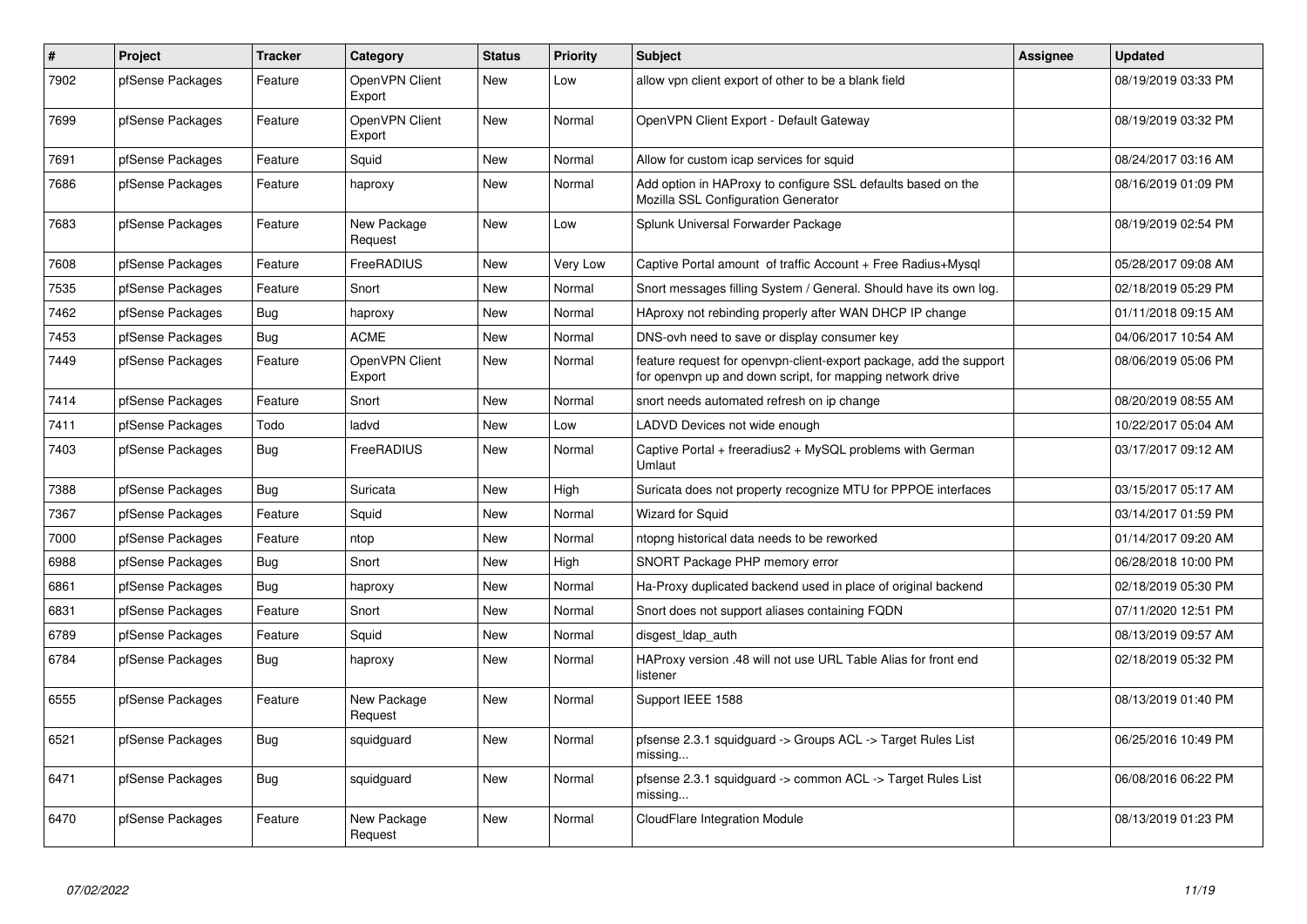| $\sharp$ | Project          | <b>Tracker</b> | Category                 | <b>Status</b> | <b>Priority</b> | <b>Subject</b>                                                                                                                  | Assignee | <b>Updated</b>      |
|----------|------------------|----------------|--------------------------|---------------|-----------------|---------------------------------------------------------------------------------------------------------------------------------|----------|---------------------|
| 7902     | pfSense Packages | Feature        | OpenVPN Client<br>Export | <b>New</b>    | Low             | allow vpn client export of other to be a blank field                                                                            |          | 08/19/2019 03:33 PM |
| 7699     | pfSense Packages | Feature        | OpenVPN Client<br>Export | <b>New</b>    | Normal          | OpenVPN Client Export - Default Gateway                                                                                         |          | 08/19/2019 03:32 PM |
| 7691     | pfSense Packages | Feature        | Squid                    | New           | Normal          | Allow for custom icap services for squid                                                                                        |          | 08/24/2017 03:16 AM |
| 7686     | pfSense Packages | Feature        | haproxy                  | New           | Normal          | Add option in HAProxy to configure SSL defaults based on the<br>Mozilla SSL Configuration Generator                             |          | 08/16/2019 01:09 PM |
| 7683     | pfSense Packages | Feature        | New Package<br>Request   | <b>New</b>    | Low             | Splunk Universal Forwarder Package                                                                                              |          | 08/19/2019 02:54 PM |
| 7608     | pfSense Packages | Feature        | FreeRADIUS               | <b>New</b>    | <b>Very Low</b> | Captive Portal amount of traffic Account + Free Radius+Mysql                                                                    |          | 05/28/2017 09:08 AM |
| 7535     | pfSense Packages | Feature        | Snort                    | <b>New</b>    | Normal          | Snort messages filling System / General. Should have its own log.                                                               |          | 02/18/2019 05:29 PM |
| 7462     | pfSense Packages | <b>Bug</b>     | haproxy                  | <b>New</b>    | Normal          | HAproxy not rebinding properly after WAN DHCP IP change                                                                         |          | 01/11/2018 09:15 AM |
| 7453     | pfSense Packages | Bug            | <b>ACME</b>              | New           | Normal          | DNS-ovh need to save or display consumer key                                                                                    |          | 04/06/2017 10:54 AM |
| 7449     | pfSense Packages | Feature        | OpenVPN Client<br>Export | New           | Normal          | feature request for openvpn-client-export package, add the support<br>for openvpn up and down script, for mapping network drive |          | 08/06/2019 05:06 PM |
| 7414     | pfSense Packages | Feature        | Snort                    | New           | Normal          | snort needs automated refresh on ip change                                                                                      |          | 08/20/2019 08:55 AM |
| 7411     | pfSense Packages | Todo           | ladvd                    | <b>New</b>    | Low             | LADVD Devices not wide enough                                                                                                   |          | 10/22/2017 05:04 AM |
| 7403     | pfSense Packages | Bug            | FreeRADIUS               | <b>New</b>    | Normal          | Captive Portal + freeradius2 + MySQL problems with German<br>Umlaut                                                             |          | 03/17/2017 09:12 AM |
| 7388     | pfSense Packages | <b>Bug</b>     | Suricata                 | <b>New</b>    | High            | Suricata does not property recognize MTU for PPPOE interfaces                                                                   |          | 03/15/2017 05:17 AM |
| 7367     | pfSense Packages | Feature        | Squid                    | <b>New</b>    | Normal          | <b>Wizard for Squid</b>                                                                                                         |          | 03/14/2017 01:59 PM |
| 7000     | pfSense Packages | Feature        | ntop                     | New           | Normal          | ntopng historical data needs to be reworked                                                                                     |          | 01/14/2017 09:20 AM |
| 6988     | pfSense Packages | <b>Bug</b>     | Snort                    | New           | High            | SNORT Package PHP memory error                                                                                                  |          | 06/28/2018 10:00 PM |
| 6861     | pfSense Packages | Bug            | haproxy                  | New           | Normal          | Ha-Proxy duplicated backend used in place of original backend                                                                   |          | 02/18/2019 05:30 PM |
| 6831     | pfSense Packages | Feature        | Snort                    | New           | Normal          | Snort does not support aliases containing FQDN                                                                                  |          | 07/11/2020 12:51 PM |
| 6789     | pfSense Packages | Feature        | Squid                    | New           | Normal          | disgest Idap auth                                                                                                               |          | 08/13/2019 09:57 AM |
| 6784     | pfSense Packages | Bug            | haproxy                  | New           | Normal          | HAProxy version .48 will not use URL Table Alias for front end<br>listener                                                      |          | 02/18/2019 05:32 PM |
| 6555     | pfSense Packages | Feature        | New Package<br>Request   | New           | Normal          | Support IEEE 1588                                                                                                               |          | 08/13/2019 01:40 PM |
| 6521     | pfSense Packages | Bug            | squidguard               | <b>New</b>    | Normal          | pfsense 2.3.1 squidguard -> Groups ACL -> Target Rules List<br>missing                                                          |          | 06/25/2016 10:49 PM |
| 6471     | pfSense Packages | Bug            | squidguard               | <b>New</b>    | Normal          | pfsense 2.3.1 squidguard -> common ACL -> Target Rules List<br>missing                                                          |          | 06/08/2016 06:22 PM |
| 6470     | pfSense Packages | Feature        | New Package<br>Request   | <b>New</b>    | Normal          | <b>CloudFlare Integration Module</b>                                                                                            |          | 08/13/2019 01:23 PM |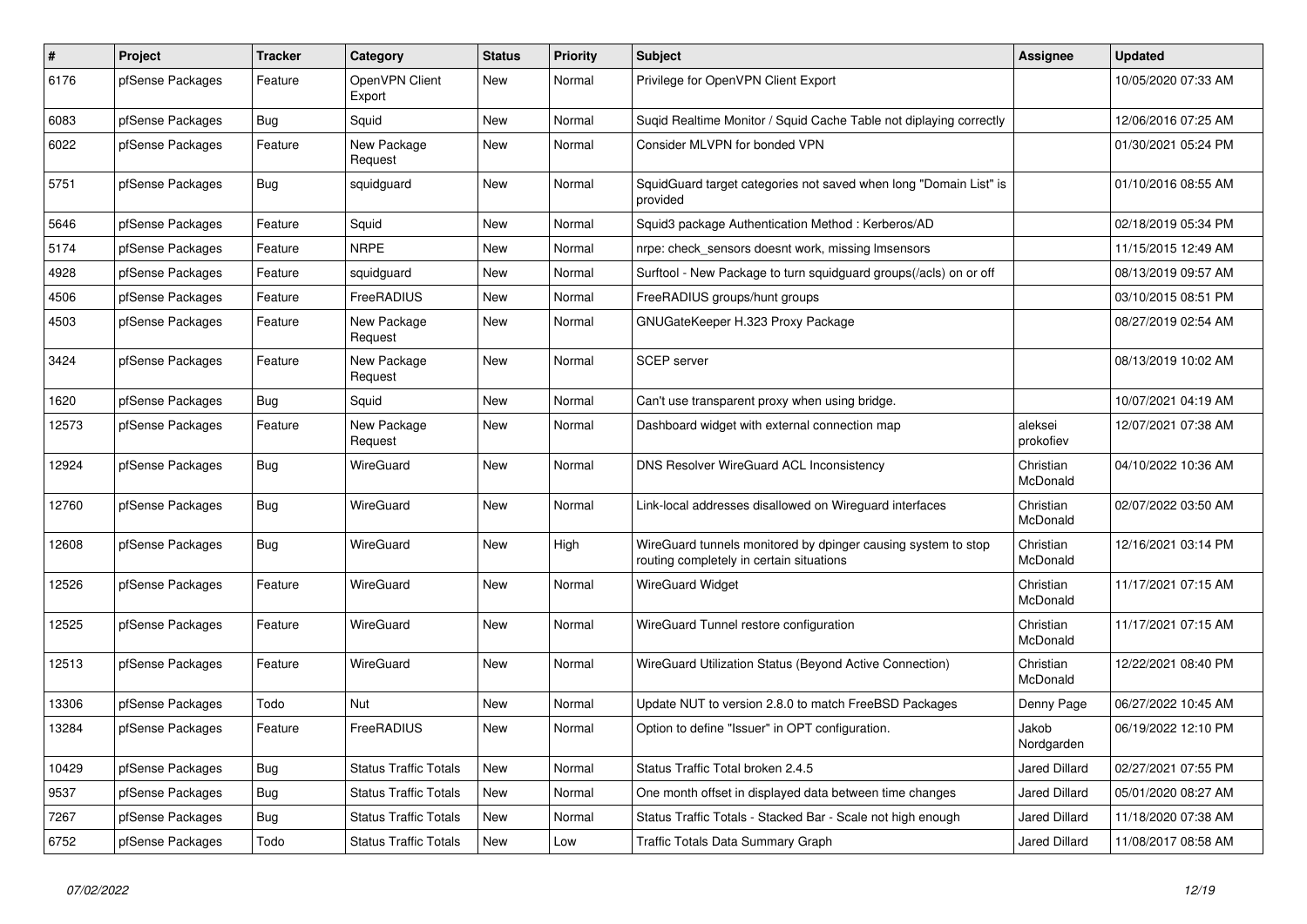| $\pmb{\#}$ | Project          | <b>Tracker</b> | Category                     | <b>Status</b> | <b>Priority</b> | <b>Subject</b>                                                                                            | <b>Assignee</b>       | <b>Updated</b>      |
|------------|------------------|----------------|------------------------------|---------------|-----------------|-----------------------------------------------------------------------------------------------------------|-----------------------|---------------------|
| 6176       | pfSense Packages | Feature        | OpenVPN Client<br>Export     | <b>New</b>    | Normal          | Privilege for OpenVPN Client Export                                                                       |                       | 10/05/2020 07:33 AM |
| 6083       | pfSense Packages | Bug            | Squid                        | New           | Normal          | Sugid Realtime Monitor / Squid Cache Table not diplaying correctly                                        |                       | 12/06/2016 07:25 AM |
| 6022       | pfSense Packages | Feature        | New Package<br>Request       | <b>New</b>    | Normal          | Consider MLVPN for bonded VPN                                                                             |                       | 01/30/2021 05:24 PM |
| 5751       | pfSense Packages | <b>Bug</b>     | squidguard                   | <b>New</b>    | Normal          | SquidGuard target categories not saved when long "Domain List" is<br>provided                             |                       | 01/10/2016 08:55 AM |
| 5646       | pfSense Packages | Feature        | Squid                        | <b>New</b>    | Normal          | Squid3 package Authentication Method: Kerberos/AD                                                         |                       | 02/18/2019 05:34 PM |
| 5174       | pfSense Packages | Feature        | <b>NRPE</b>                  | <b>New</b>    | Normal          | nrpe: check sensors doesnt work, missing Imsensors                                                        |                       | 11/15/2015 12:49 AM |
| 4928       | pfSense Packages | Feature        | squidguard                   | New           | Normal          | Surftool - New Package to turn squidguard groups(/acls) on or off                                         |                       | 08/13/2019 09:57 AM |
| 4506       | pfSense Packages | Feature        | FreeRADIUS                   | <b>New</b>    | Normal          | FreeRADIUS groups/hunt groups                                                                             |                       | 03/10/2015 08:51 PM |
| 4503       | pfSense Packages | Feature        | New Package<br>Request       | New           | Normal          | GNUGateKeeper H.323 Proxy Package                                                                         |                       | 08/27/2019 02:54 AM |
| 3424       | pfSense Packages | Feature        | New Package<br>Request       | <b>New</b>    | Normal          | <b>SCEP</b> server                                                                                        |                       | 08/13/2019 10:02 AM |
| 1620       | pfSense Packages | Bug            | Squid                        | <b>New</b>    | Normal          | Can't use transparent proxy when using bridge.                                                            |                       | 10/07/2021 04:19 AM |
| 12573      | pfSense Packages | Feature        | New Package<br>Request       | New           | Normal          | Dashboard widget with external connection map                                                             | aleksei<br>prokofiev  | 12/07/2021 07:38 AM |
| 12924      | pfSense Packages | <b>Bug</b>     | WireGuard                    | <b>New</b>    | Normal          | <b>DNS Resolver WireGuard ACL Inconsistency</b>                                                           | Christian<br>McDonald | 04/10/2022 10:36 AM |
| 12760      | pfSense Packages | <b>Bug</b>     | WireGuard                    | <b>New</b>    | Normal          | Link-local addresses disallowed on Wirequard interfaces                                                   | Christian<br>McDonald | 02/07/2022 03:50 AM |
| 12608      | pfSense Packages | Bug            | WireGuard                    | <b>New</b>    | High            | WireGuard tunnels monitored by dpinger causing system to stop<br>routing completely in certain situations | Christian<br>McDonald | 12/16/2021 03:14 PM |
| 12526      | pfSense Packages | Feature        | WireGuard                    | <b>New</b>    | Normal          | WireGuard Widget                                                                                          | Christian<br>McDonald | 11/17/2021 07:15 AM |
| 12525      | pfSense Packages | Feature        | WireGuard                    | New           | Normal          | WireGuard Tunnel restore configuration                                                                    | Christian<br>McDonald | 11/17/2021 07:15 AM |
| 12513      | pfSense Packages | Feature        | WireGuard                    | New           | Normal          | WireGuard Utilization Status (Beyond Active Connection)                                                   | Christian<br>McDonald | 12/22/2021 08:40 PM |
| 13306      | pfSense Packages | Todo           | Nut                          | <b>New</b>    | Normal          | Update NUT to version 2.8.0 to match FreeBSD Packages                                                     | Denny Page            | 06/27/2022 10:45 AM |
| 13284      | pfSense Packages | Feature        | FreeRADIUS                   | <b>New</b>    | Normal          | Option to define "Issuer" in OPT configuration.                                                           | Jakob<br>Nordgarden   | 06/19/2022 12:10 PM |
| 10429      | pfSense Packages | Bug            | Status Traffic Totals        | <b>New</b>    | Normal          | Status Traffic Total broken 2.4.5                                                                         | <b>Jared Dillard</b>  | 02/27/2021 07:55 PM |
| 9537       | pfSense Packages | Bug            | <b>Status Traffic Totals</b> | New           | Normal          | One month offset in displayed data between time changes                                                   | Jared Dillard         | 05/01/2020 08:27 AM |
| 7267       | pfSense Packages | Bug            | <b>Status Traffic Totals</b> | <b>New</b>    | Normal          | Status Traffic Totals - Stacked Bar - Scale not high enough                                               | <b>Jared Dillard</b>  | 11/18/2020 07:38 AM |
| 6752       | pfSense Packages | Todo           | <b>Status Traffic Totals</b> | <b>New</b>    | Low             | <b>Traffic Totals Data Summary Graph</b>                                                                  | <b>Jared Dillard</b>  | 11/08/2017 08:58 AM |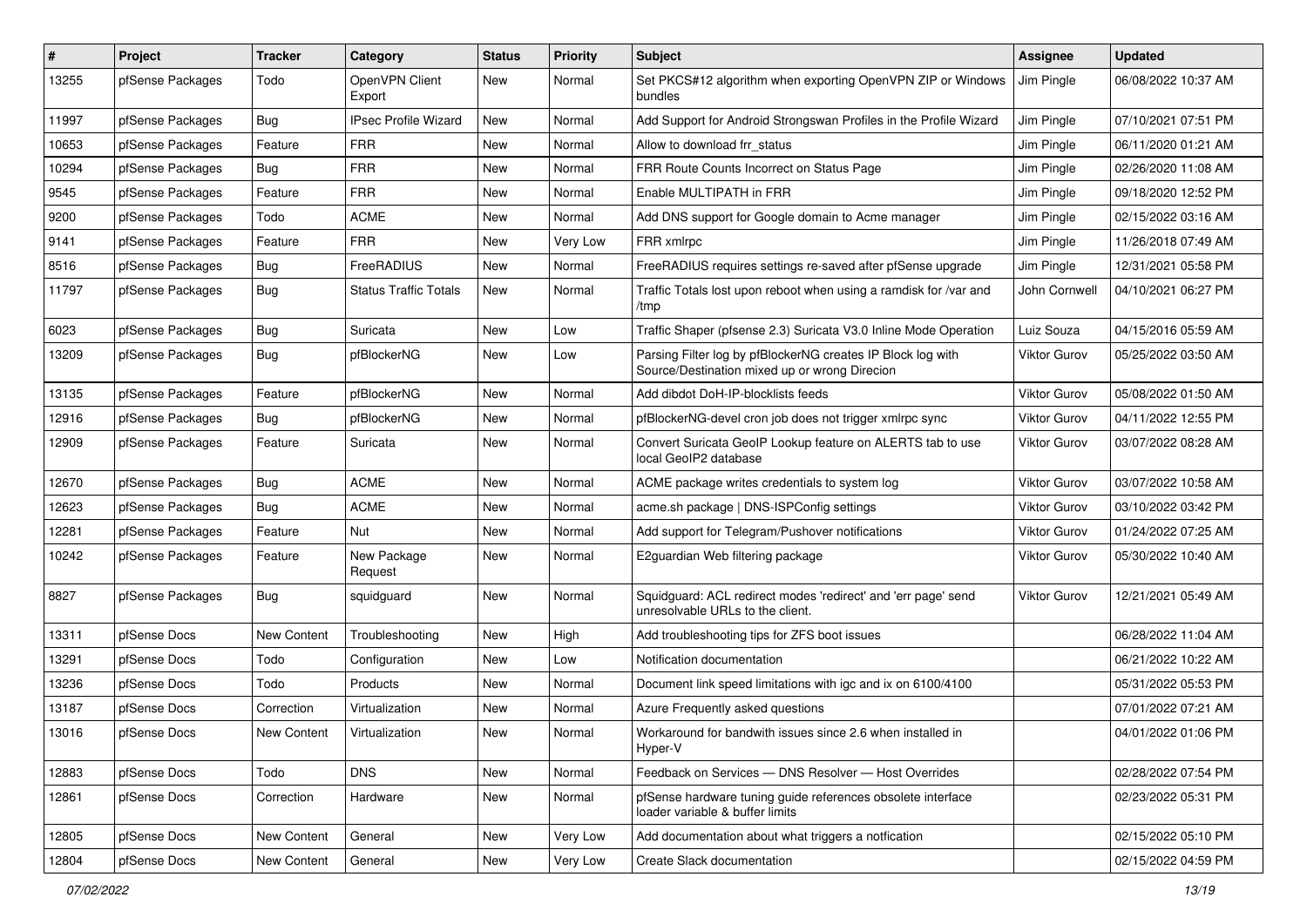| #     | Project          | <b>Tracker</b> | Category                     | <b>Status</b> | <b>Priority</b> | <b>Subject</b>                                                                                               | <b>Assignee</b>     | <b>Updated</b>      |
|-------|------------------|----------------|------------------------------|---------------|-----------------|--------------------------------------------------------------------------------------------------------------|---------------------|---------------------|
| 13255 | pfSense Packages | Todo           | OpenVPN Client<br>Export     | <b>New</b>    | Normal          | Set PKCS#12 algorithm when exporting OpenVPN ZIP or Windows<br>bundles                                       | Jim Pingle          | 06/08/2022 10:37 AM |
| 11997 | pfSense Packages | Bug            | <b>IPsec Profile Wizard</b>  | <b>New</b>    | Normal          | Add Support for Android Strongswan Profiles in the Profile Wizard                                            | Jim Pingle          | 07/10/2021 07:51 PM |
| 10653 | pfSense Packages | Feature        | <b>FRR</b>                   | New           | Normal          | Allow to download frr status                                                                                 | Jim Pingle          | 06/11/2020 01:21 AM |
| 10294 | pfSense Packages | Bug            | <b>FRR</b>                   | <b>New</b>    | Normal          | FRR Route Counts Incorrect on Status Page                                                                    | Jim Pingle          | 02/26/2020 11:08 AM |
| 9545  | pfSense Packages | Feature        | <b>FRR</b>                   | New           | Normal          | Enable MULTIPATH in FRR                                                                                      | Jim Pingle          | 09/18/2020 12:52 PM |
| 9200  | pfSense Packages | Todo           | <b>ACME</b>                  | New           | Normal          | Add DNS support for Google domain to Acme manager                                                            | Jim Pingle          | 02/15/2022 03:16 AM |
| 9141  | pfSense Packages | Feature        | <b>FRR</b>                   | <b>New</b>    | Very Low        | FRR xmlrpc                                                                                                   | Jim Pingle          | 11/26/2018 07:49 AM |
| 8516  | pfSense Packages | Bug            | FreeRADIUS                   | New           | Normal          | FreeRADIUS requires settings re-saved after pfSense upgrade                                                  | Jim Pingle          | 12/31/2021 05:58 PM |
| 11797 | pfSense Packages | Bug            | <b>Status Traffic Totals</b> | New           | Normal          | Traffic Totals lost upon reboot when using a ramdisk for /var and<br>/tmp                                    | John Cornwell       | 04/10/2021 06:27 PM |
| 6023  | pfSense Packages | Bug            | Suricata                     | <b>New</b>    | Low             | Traffic Shaper (pfsense 2.3) Suricata V3.0 Inline Mode Operation                                             | Luiz Souza          | 04/15/2016 05:59 AM |
| 13209 | pfSense Packages | Bug            | pfBlockerNG                  | New           | Low             | Parsing Filter log by pfBlockerNG creates IP Block log with<br>Source/Destination mixed up or wrong Direcion | <b>Viktor Gurov</b> | 05/25/2022 03:50 AM |
| 13135 | pfSense Packages | Feature        | pfBlockerNG                  | <b>New</b>    | Normal          | Add dibdot DoH-IP-blocklists feeds                                                                           | <b>Viktor Gurov</b> | 05/08/2022 01:50 AM |
| 12916 | pfSense Packages | Bug            | pfBlockerNG                  | New           | Normal          | pfBlockerNG-devel cron job does not trigger xmlrpc sync                                                      | Viktor Gurov        | 04/11/2022 12:55 PM |
| 12909 | pfSense Packages | Feature        | Suricata                     | New           | Normal          | Convert Suricata GeoIP Lookup feature on ALERTS tab to use<br>local GeoIP2 database                          | <b>Viktor Gurov</b> | 03/07/2022 08:28 AM |
| 12670 | pfSense Packages | <b>Bug</b>     | <b>ACME</b>                  | <b>New</b>    | Normal          | ACME package writes credentials to system log                                                                | <b>Viktor Gurov</b> | 03/07/2022 10:58 AM |
| 12623 | pfSense Packages | Bug            | <b>ACME</b>                  | New           | Normal          | acme.sh package   DNS-ISPConfig settings                                                                     | <b>Viktor Gurov</b> | 03/10/2022 03:42 PM |
| 12281 | pfSense Packages | Feature        | Nut                          | New           | Normal          | Add support for Telegram/Pushover notifications                                                              | Viktor Gurov        | 01/24/2022 07:25 AM |
| 10242 | pfSense Packages | Feature        | New Package<br>Request       | New           | Normal          | E2guardian Web filtering package                                                                             | Viktor Gurov        | 05/30/2022 10:40 AM |
| 8827  | pfSense Packages | Bug            | squidguard                   | New           | Normal          | Squidguard: ACL redirect modes 'redirect' and 'err page' send<br>unresolvable URLs to the client.            | <b>Viktor Gurov</b> | 12/21/2021 05:49 AM |
| 13311 | pfSense Docs     | New Content    | Troubleshooting              | New           | High            | Add troubleshooting tips for ZFS boot issues                                                                 |                     | 06/28/2022 11:04 AM |
| 13291 | pfSense Docs     | Todo           | Configuration                | New           | Low             | Notification documentation                                                                                   |                     | 06/21/2022 10:22 AM |
| 13236 | pfSense Docs     | Todo           | Products                     | New           | Normal          | Document link speed limitations with igc and ix on 6100/4100                                                 |                     | 05/31/2022 05:53 PM |
| 13187 | pfSense Docs     | Correction     | Virtualization               | <b>New</b>    | Normal          | Azure Frequently asked questions                                                                             |                     | 07/01/2022 07:21 AM |
| 13016 | pfSense Docs     | New Content    | Virtualization               | New           | Normal          | Workaround for bandwith issues since 2.6 when installed in<br>Hyper-V                                        |                     | 04/01/2022 01:06 PM |
| 12883 | pfSense Docs     | Todo           | <b>DNS</b>                   | New           | Normal          | Feedback on Services - DNS Resolver - Host Overrides                                                         |                     | 02/28/2022 07:54 PM |
| 12861 | pfSense Docs     | Correction     | Hardware                     | New           | Normal          | pfSense hardware tuning guide references obsolete interface<br>loader variable & buffer limits               |                     | 02/23/2022 05:31 PM |
| 12805 | pfSense Docs     | New Content    | General                      | New           | Very Low        | Add documentation about what triggers a notfication                                                          |                     | 02/15/2022 05:10 PM |
| 12804 | pfSense Docs     | New Content    | General                      | New           | Very Low        | Create Slack documentation                                                                                   |                     | 02/15/2022 04:59 PM |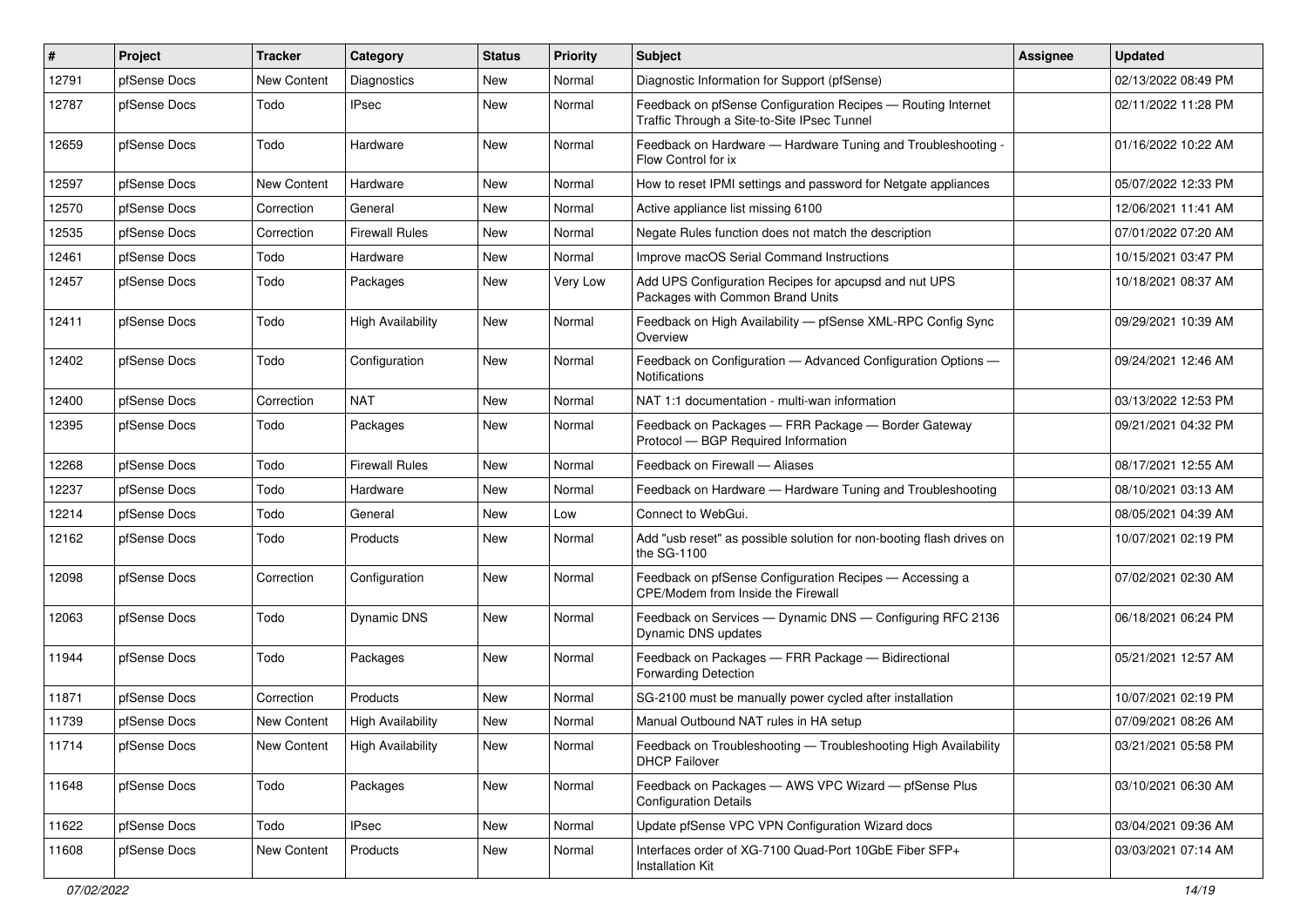| #     | Project      | <b>Tracker</b> | Category                 | <b>Status</b> | <b>Priority</b> | Subject                                                                                                     | Assignee | <b>Updated</b>      |
|-------|--------------|----------------|--------------------------|---------------|-----------------|-------------------------------------------------------------------------------------------------------------|----------|---------------------|
| 12791 | pfSense Docs | New Content    | Diagnostics              | New           | Normal          | Diagnostic Information for Support (pfSense)                                                                |          | 02/13/2022 08:49 PM |
| 12787 | pfSense Docs | Todo           | <b>IPsec</b>             | New           | Normal          | Feedback on pfSense Configuration Recipes - Routing Internet<br>Traffic Through a Site-to-Site IPsec Tunnel |          | 02/11/2022 11:28 PM |
| 12659 | pfSense Docs | Todo           | Hardware                 | New           | Normal          | Feedback on Hardware - Hardware Tuning and Troubleshooting -<br>Flow Control for ix                         |          | 01/16/2022 10:22 AM |
| 12597 | pfSense Docs | New Content    | Hardware                 | <b>New</b>    | Normal          | How to reset IPMI settings and password for Netgate appliances                                              |          | 05/07/2022 12:33 PM |
| 12570 | pfSense Docs | Correction     | General                  | New           | Normal          | Active appliance list missing 6100                                                                          |          | 12/06/2021 11:41 AM |
| 12535 | pfSense Docs | Correction     | <b>Firewall Rules</b>    | <b>New</b>    | Normal          | Negate Rules function does not match the description                                                        |          | 07/01/2022 07:20 AM |
| 12461 | pfSense Docs | Todo           | Hardware                 | New           | Normal          | Improve macOS Serial Command Instructions                                                                   |          | 10/15/2021 03:47 PM |
| 12457 | pfSense Docs | Todo           | Packages                 | <b>New</b>    | Very Low        | Add UPS Configuration Recipes for apcupsd and nut UPS<br>Packages with Common Brand Units                   |          | 10/18/2021 08:37 AM |
| 12411 | pfSense Docs | Todo           | <b>High Availability</b> | <b>New</b>    | Normal          | Feedback on High Availability - pfSense XML-RPC Config Sync<br>Overview                                     |          | 09/29/2021 10:39 AM |
| 12402 | pfSense Docs | Todo           | Configuration            | <b>New</b>    | Normal          | Feedback on Configuration - Advanced Configuration Options -<br>Notifications                               |          | 09/24/2021 12:46 AM |
| 12400 | pfSense Docs | Correction     | <b>NAT</b>               | <b>New</b>    | Normal          | NAT 1:1 documentation - multi-wan information                                                               |          | 03/13/2022 12:53 PM |
| 12395 | pfSense Docs | Todo           | Packages                 | <b>New</b>    | Normal          | Feedback on Packages - FRR Package - Border Gateway<br>Protocol - BGP Required Information                  |          | 09/21/2021 04:32 PM |
| 12268 | pfSense Docs | Todo           | <b>Firewall Rules</b>    | <b>New</b>    | Normal          | Feedback on Firewall - Aliases                                                                              |          | 08/17/2021 12:55 AM |
| 12237 | pfSense Docs | Todo           | Hardware                 | <b>New</b>    | Normal          | Feedback on Hardware - Hardware Tuning and Troubleshooting                                                  |          | 08/10/2021 03:13 AM |
| 12214 | pfSense Docs | Todo           | General                  | <b>New</b>    | Low             | Connect to WebGui.                                                                                          |          | 08/05/2021 04:39 AM |
| 12162 | pfSense Docs | Todo           | Products                 | <b>New</b>    | Normal          | Add "usb reset" as possible solution for non-booting flash drives on<br>the SG-1100                         |          | 10/07/2021 02:19 PM |
| 12098 | pfSense Docs | Correction     | Configuration            | <b>New</b>    | Normal          | Feedback on pfSense Configuration Recipes - Accessing a<br>CPE/Modem from Inside the Firewall               |          | 07/02/2021 02:30 AM |
| 12063 | pfSense Docs | Todo           | <b>Dynamic DNS</b>       | <b>New</b>    | Normal          | Feedback on Services - Dynamic DNS - Configuring RFC 2136<br>Dynamic DNS updates                            |          | 06/18/2021 06:24 PM |
| 11944 | pfSense Docs | Todo           | Packages                 | <b>New</b>    | Normal          | Feedback on Packages - FRR Package - Bidirectional<br><b>Forwarding Detection</b>                           |          | 05/21/2021 12:57 AM |
| 11871 | pfSense Docs | Correction     | Products                 | <b>New</b>    | Normal          | SG-2100 must be manually power cycled after installation                                                    |          | 10/07/2021 02:19 PM |
| 11739 | pfSense Docs | New Content    | <b>High Availability</b> | <b>New</b>    | Normal          | Manual Outbound NAT rules in HA setup                                                                       |          | 07/09/2021 08:26 AM |
| 11714 | pfSense Docs | New Content    | <b>High Availability</b> | New           | Normal          | Feedback on Troubleshooting - Troubleshooting High Availability<br><b>DHCP Failover</b>                     |          | 03/21/2021 05:58 PM |
| 11648 | pfSense Docs | Todo           | Packages                 | New           | Normal          | Feedback on Packages - AWS VPC Wizard - pfSense Plus<br><b>Configuration Details</b>                        |          | 03/10/2021 06:30 AM |
| 11622 | pfSense Docs | Todo           | <b>IPsec</b>             | New           | Normal          | Update pfSense VPC VPN Configuration Wizard docs                                                            |          | 03/04/2021 09:36 AM |
| 11608 | pfSense Docs | New Content    | Products                 | New           | Normal          | Interfaces order of XG-7100 Quad-Port 10GbE Fiber SFP+<br><b>Installation Kit</b>                           |          | 03/03/2021 07:14 AM |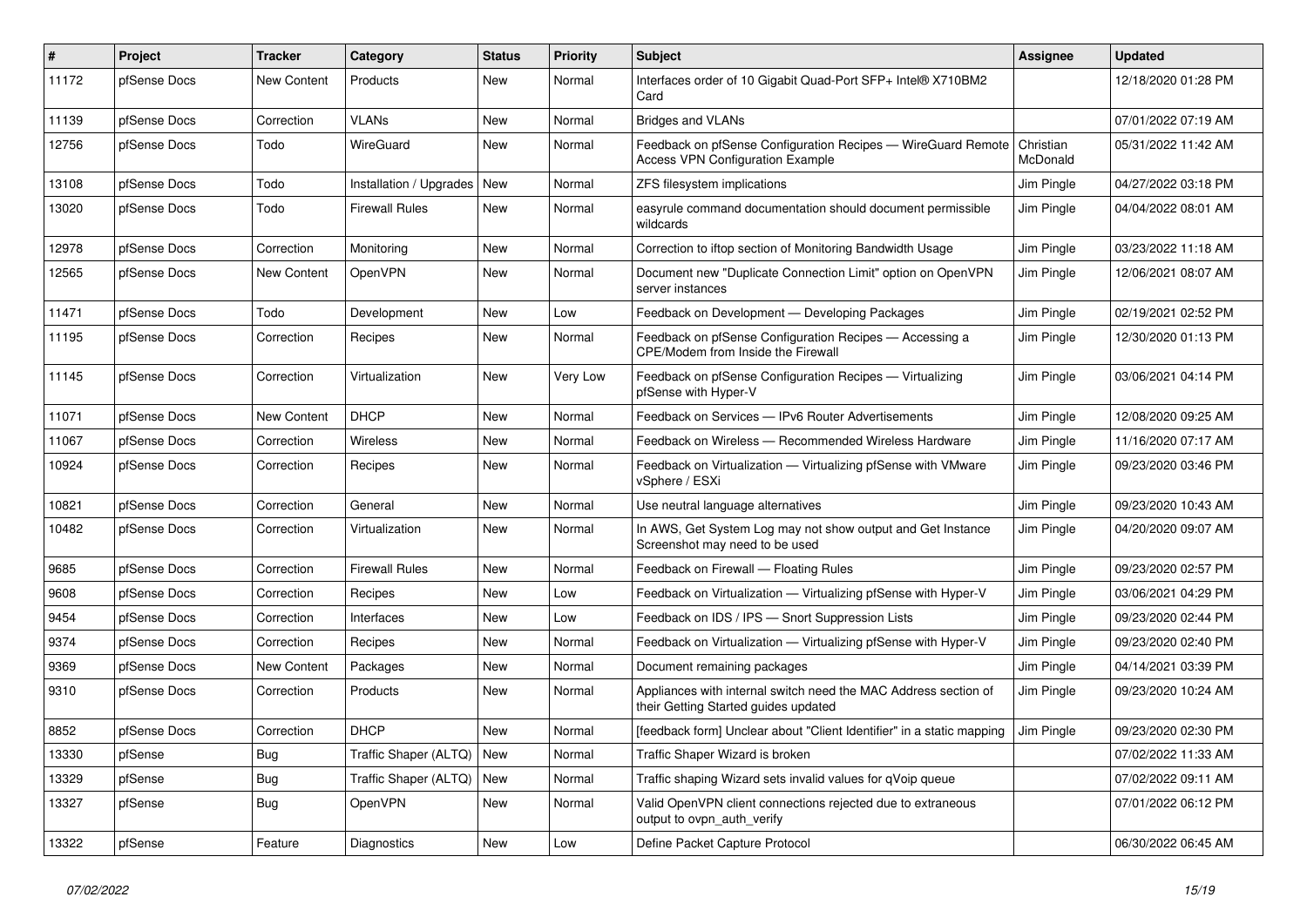| $\sharp$ | Project      | <b>Tracker</b>     | Category                | <b>Status</b> | <b>Priority</b> | <b>Subject</b>                                                                                          | <b>Assignee</b>       | <b>Updated</b>      |
|----------|--------------|--------------------|-------------------------|---------------|-----------------|---------------------------------------------------------------------------------------------------------|-----------------------|---------------------|
| 11172    | pfSense Docs | New Content        | Products                | <b>New</b>    | Normal          | Interfaces order of 10 Gigabit Quad-Port SFP+ Intel® X710BM2<br>Card                                    |                       | 12/18/2020 01:28 PM |
| 11139    | pfSense Docs | Correction         | VLANs                   | <b>New</b>    | Normal          | <b>Bridges and VLANs</b>                                                                                |                       | 07/01/2022 07:19 AM |
| 12756    | pfSense Docs | Todo               | WireGuard               | <b>New</b>    | Normal          | Feedback on pfSense Configuration Recipes - WireGuard Remote<br><b>Access VPN Configuration Example</b> | Christian<br>McDonald | 05/31/2022 11:42 AM |
| 13108    | pfSense Docs | Todo               | Installation / Upgrades | <b>New</b>    | Normal          | ZFS filesystem implications                                                                             | Jim Pingle            | 04/27/2022 03:18 PM |
| 13020    | pfSense Docs | Todo               | <b>Firewall Rules</b>   | New           | Normal          | easyrule command documentation should document permissible<br>wildcards                                 | Jim Pingle            | 04/04/2022 08:01 AM |
| 12978    | pfSense Docs | Correction         | Monitoring              | <b>New</b>    | Normal          | Correction to iftop section of Monitoring Bandwidth Usage                                               | Jim Pingle            | 03/23/2022 11:18 AM |
| 12565    | pfSense Docs | New Content        | OpenVPN                 | New           | Normal          | Document new "Duplicate Connection Limit" option on OpenVPN<br>server instances                         | Jim Pingle            | 12/06/2021 08:07 AM |
| 11471    | pfSense Docs | Todo               | Development             | <b>New</b>    | Low             | Feedback on Development - Developing Packages                                                           | Jim Pingle            | 02/19/2021 02:52 PM |
| 11195    | pfSense Docs | Correction         | Recipes                 | <b>New</b>    | Normal          | Feedback on pfSense Configuration Recipes - Accessing a<br>CPE/Modem from Inside the Firewall           | Jim Pingle            | 12/30/2020 01:13 PM |
| 11145    | pfSense Docs | Correction         | Virtualization          | <b>New</b>    | Very Low        | Feedback on pfSense Configuration Recipes - Virtualizing<br>pfSense with Hyper-V                        | Jim Pingle            | 03/06/2021 04:14 PM |
| 11071    | pfSense Docs | <b>New Content</b> | <b>DHCP</b>             | New           | Normal          | Feedback on Services - IPv6 Router Advertisements                                                       | Jim Pingle            | 12/08/2020 09:25 AM |
| 11067    | pfSense Docs | Correction         | Wireless                | <b>New</b>    | Normal          | Feedback on Wireless — Recommended Wireless Hardware                                                    | Jim Pingle            | 11/16/2020 07:17 AM |
| 10924    | pfSense Docs | Correction         | Recipes                 | <b>New</b>    | Normal          | Feedback on Virtualization - Virtualizing pfSense with VMware<br>vSphere / ESXi                         | Jim Pingle            | 09/23/2020 03:46 PM |
| 10821    | pfSense Docs | Correction         | General                 | <b>New</b>    | Normal          | Use neutral language alternatives                                                                       | Jim Pingle            | 09/23/2020 10:43 AM |
| 10482    | pfSense Docs | Correction         | Virtualization          | <b>New</b>    | Normal          | In AWS, Get System Log may not show output and Get Instance<br>Screenshot may need to be used           | Jim Pingle            | 04/20/2020 09:07 AM |
| 9685     | pfSense Docs | Correction         | <b>Firewall Rules</b>   | <b>New</b>    | Normal          | Feedback on Firewall - Floating Rules                                                                   | Jim Pingle            | 09/23/2020 02:57 PM |
| 9608     | pfSense Docs | Correction         | Recipes                 | <b>New</b>    | Low             | Feedback on Virtualization - Virtualizing pfSense with Hyper-V                                          | Jim Pingle            | 03/06/2021 04:29 PM |
| 9454     | pfSense Docs | Correction         | Interfaces              | <b>New</b>    | Low             | Feedback on IDS / IPS - Snort Suppression Lists                                                         | Jim Pingle            | 09/23/2020 02:44 PM |
| 9374     | pfSense Docs | Correction         | Recipes                 | New           | Normal          | Feedback on Virtualization - Virtualizing pfSense with Hyper-V                                          | Jim Pingle            | 09/23/2020 02:40 PM |
| 9369     | pfSense Docs | New Content        | Packages                | <b>New</b>    | Normal          | Document remaining packages                                                                             | Jim Pingle            | 04/14/2021 03:39 PM |
| 9310     | pfSense Docs | Correction         | Products                | New           | Normal          | Appliances with internal switch need the MAC Address section of<br>their Getting Started guides updated | Jim Pingle            | 09/23/2020 10:24 AM |
| 8852     | pfSense Docs | Correction         | DHCP                    | <b>New</b>    | Normal          | [feedback form] Unclear about "Client Identifier" in a static mapping                                   | Jim Pingle            | 09/23/2020 02:30 PM |
| 13330    | pfSense      | Bug                | Traffic Shaper (ALTQ)   | <b>New</b>    | Normal          | Traffic Shaper Wizard is broken                                                                         |                       | 07/02/2022 11:33 AM |
| 13329    | pfSense      | <b>Bug</b>         | Traffic Shaper (ALTQ)   | <b>New</b>    | Normal          | Traffic shaping Wizard sets invalid values for qVoip queue                                              |                       | 07/02/2022 09:11 AM |
| 13327    | pfSense      | Bug                | OpenVPN                 | <b>New</b>    | Normal          | Valid OpenVPN client connections rejected due to extraneous<br>output to ovpn auth verify               |                       | 07/01/2022 06:12 PM |
| 13322    | pfSense      | Feature            | Diagnostics             | New           | Low             | Define Packet Capture Protocol                                                                          |                       | 06/30/2022 06:45 AM |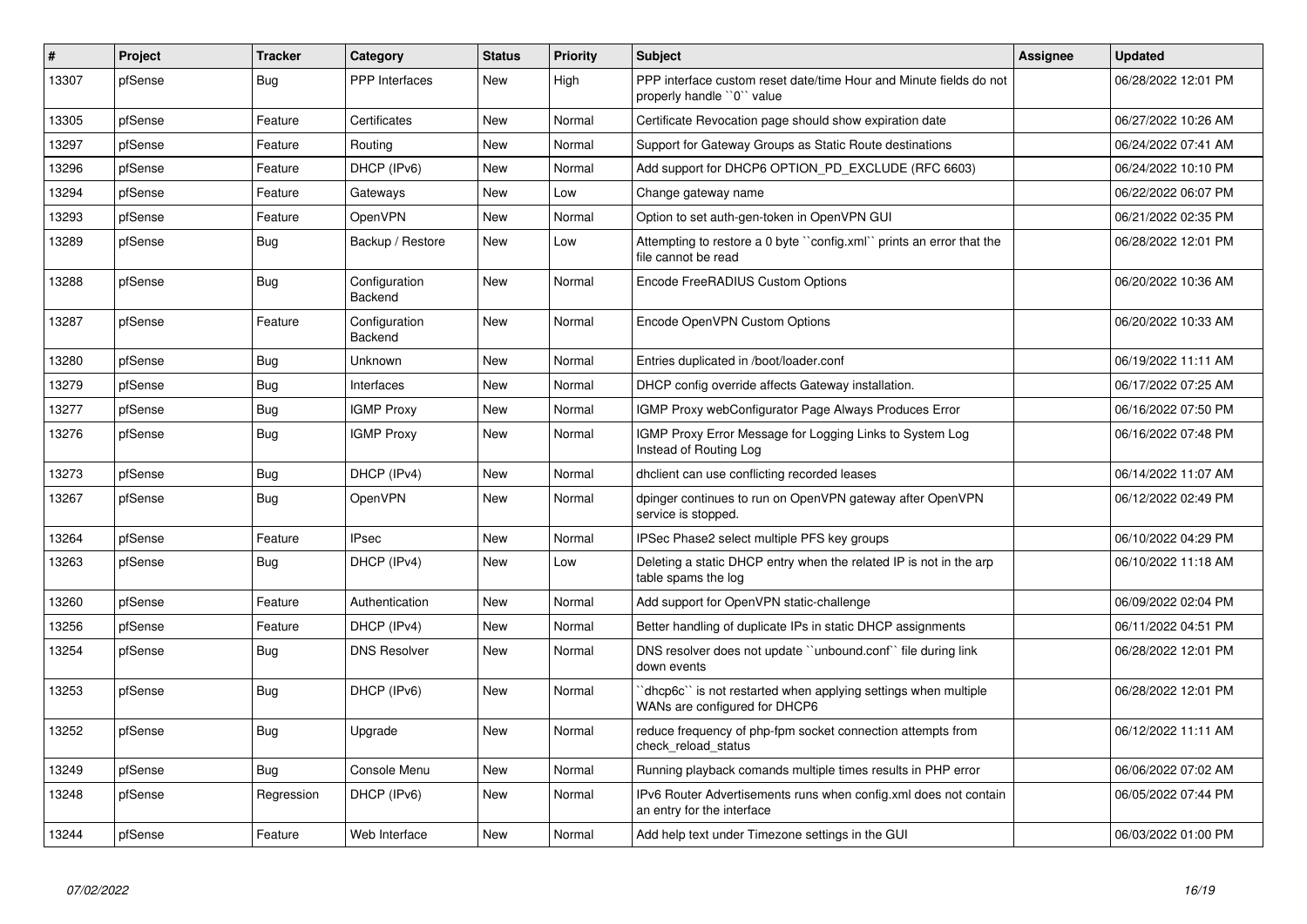| $\vert$ # | Project | <b>Tracker</b> | Category                 | <b>Status</b> | <b>Priority</b> | <b>Subject</b>                                                                                  | Assignee | <b>Updated</b>      |
|-----------|---------|----------------|--------------------------|---------------|-----------------|-------------------------------------------------------------------------------------------------|----------|---------------------|
| 13307     | pfSense | <b>Bug</b>     | <b>PPP</b> Interfaces    | <b>New</b>    | High            | PPP interface custom reset date/time Hour and Minute fields do not<br>properly handle "0" value |          | 06/28/2022 12:01 PM |
| 13305     | pfSense | Feature        | Certificates             | New           | Normal          | Certificate Revocation page should show expiration date                                         |          | 06/27/2022 10:26 AM |
| 13297     | pfSense | Feature        | Routing                  | <b>New</b>    | Normal          | Support for Gateway Groups as Static Route destinations                                         |          | 06/24/2022 07:41 AM |
| 13296     | pfSense | Feature        | DHCP (IPv6)              | <b>New</b>    | Normal          | Add support for DHCP6 OPTION_PD_EXCLUDE (RFC 6603)                                              |          | 06/24/2022 10:10 PM |
| 13294     | pfSense | Feature        | Gateways                 | <b>New</b>    | Low             | Change gateway name                                                                             |          | 06/22/2022 06:07 PM |
| 13293     | pfSense | Feature        | OpenVPN                  | <b>New</b>    | Normal          | Option to set auth-gen-token in OpenVPN GUI                                                     |          | 06/21/2022 02:35 PM |
| 13289     | pfSense | Bug            | Backup / Restore         | <b>New</b>    | Low             | Attempting to restore a 0 byte ``config.xml`` prints an error that the<br>file cannot be read   |          | 06/28/2022 12:01 PM |
| 13288     | pfSense | <b>Bug</b>     | Configuration<br>Backend | <b>New</b>    | Normal          | Encode FreeRADIUS Custom Options                                                                |          | 06/20/2022 10:36 AM |
| 13287     | pfSense | Feature        | Configuration<br>Backend | <b>New</b>    | Normal          | Encode OpenVPN Custom Options                                                                   |          | 06/20/2022 10:33 AM |
| 13280     | pfSense | <b>Bug</b>     | Unknown                  | <b>New</b>    | Normal          | Entries duplicated in /boot/loader.conf                                                         |          | 06/19/2022 11:11 AM |
| 13279     | pfSense | Bug            | Interfaces               | <b>New</b>    | Normal          | DHCP config override affects Gateway installation.                                              |          | 06/17/2022 07:25 AM |
| 13277     | pfSense | Bug            | <b>IGMP Proxy</b>        | New           | Normal          | IGMP Proxy webConfigurator Page Always Produces Error                                           |          | 06/16/2022 07:50 PM |
| 13276     | pfSense | <b>Bug</b>     | <b>IGMP Proxy</b>        | <b>New</b>    | Normal          | IGMP Proxy Error Message for Logging Links to System Log<br>Instead of Routing Log              |          | 06/16/2022 07:48 PM |
| 13273     | pfSense | <b>Bug</b>     | DHCP (IPv4)              | <b>New</b>    | Normal          | dhclient can use conflicting recorded leases                                                    |          | 06/14/2022 11:07 AM |
| 13267     | pfSense | <b>Bug</b>     | OpenVPN                  | <b>New</b>    | Normal          | dpinger continues to run on OpenVPN gateway after OpenVPN<br>service is stopped.                |          | 06/12/2022 02:49 PM |
| 13264     | pfSense | Feature        | <b>IPsec</b>             | <b>New</b>    | Normal          | IPSec Phase2 select multiple PFS key groups                                                     |          | 06/10/2022 04:29 PM |
| 13263     | pfSense | Bug            | DHCP (IPv4)              | <b>New</b>    | Low             | Deleting a static DHCP entry when the related IP is not in the arp<br>table spams the log       |          | 06/10/2022 11:18 AM |
| 13260     | pfSense | Feature        | Authentication           | <b>New</b>    | Normal          | Add support for OpenVPN static-challenge                                                        |          | 06/09/2022 02:04 PM |
| 13256     | pfSense | Feature        | DHCP (IPv4)              | <b>New</b>    | Normal          | Better handling of duplicate IPs in static DHCP assignments                                     |          | 06/11/2022 04:51 PM |
| 13254     | pfSense | <b>Bug</b>     | <b>DNS Resolver</b>      | <b>New</b>    | Normal          | DNS resolver does not update "unbound.conf" file during link<br>down events                     |          | 06/28/2022 12:01 PM |
| 13253     | pfSense | <b>Bug</b>     | DHCP (IPv6)              | <b>New</b>    | Normal          | dhcp6c" is not restarted when applying settings when multiple<br>WANs are configured for DHCP6  |          | 06/28/2022 12:01 PM |
| 13252     | pfSense | Bug            | Upgrade                  | New           | Normal          | reduce frequency of php-fpm socket connection attempts from<br>check_reload_status              |          | 06/12/2022 11:11 AM |
| 13249     | pfSense | Bug            | Console Menu             | New           | Normal          | Running playback comands multiple times results in PHP error                                    |          | 06/06/2022 07:02 AM |
| 13248     | pfSense | Regression     | DHCP (IPv6)              | <b>New</b>    | Normal          | IPv6 Router Advertisements runs when config.xml does not contain<br>an entry for the interface  |          | 06/05/2022 07:44 PM |
| 13244     | pfSense | Feature        | Web Interface            | New           | Normal          | Add help text under Timezone settings in the GUI                                                |          | 06/03/2022 01:00 PM |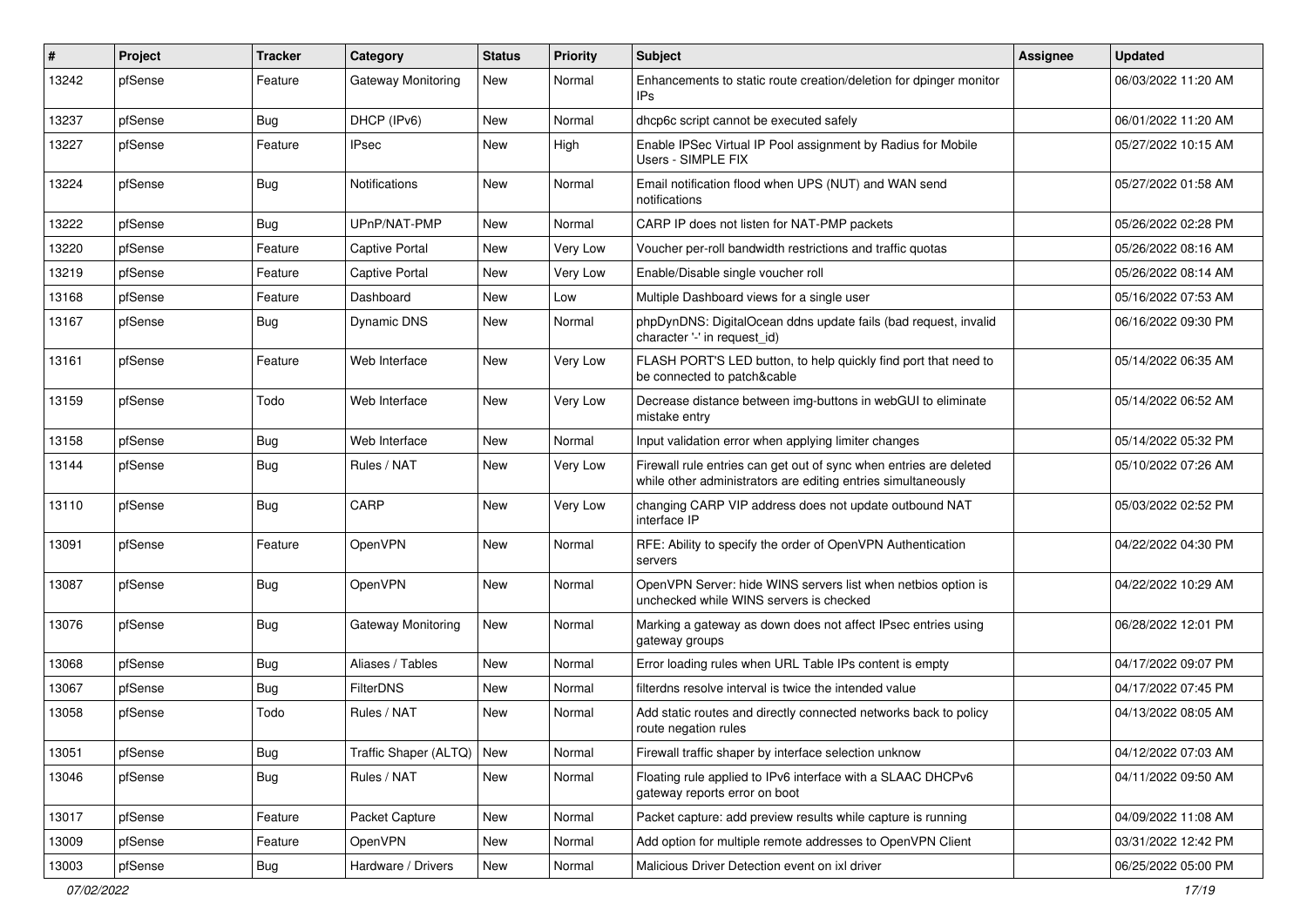| #     | Project | <b>Tracker</b> | Category              | <b>Status</b> | <b>Priority</b> | Subject                                                                                                                             | <b>Assignee</b> | <b>Updated</b>      |
|-------|---------|----------------|-----------------------|---------------|-----------------|-------------------------------------------------------------------------------------------------------------------------------------|-----------------|---------------------|
| 13242 | pfSense | Feature        | Gateway Monitoring    | New           | Normal          | Enhancements to static route creation/deletion for dpinger monitor<br>IPs                                                           |                 | 06/03/2022 11:20 AM |
| 13237 | pfSense | Bug            | DHCP (IPv6)           | New           | Normal          | dhcp6c script cannot be executed safely                                                                                             |                 | 06/01/2022 11:20 AM |
| 13227 | pfSense | Feature        | <b>IPsec</b>          | <b>New</b>    | High            | Enable IPSec Virtual IP Pool assignment by Radius for Mobile<br>Users - SIMPLE FIX                                                  |                 | 05/27/2022 10:15 AM |
| 13224 | pfSense | Bug            | Notifications         | <b>New</b>    | Normal          | Email notification flood when UPS (NUT) and WAN send<br>notifications                                                               |                 | 05/27/2022 01:58 AM |
| 13222 | pfSense | <b>Bug</b>     | UPnP/NAT-PMP          | <b>New</b>    | Normal          | CARP IP does not listen for NAT-PMP packets                                                                                         |                 | 05/26/2022 02:28 PM |
| 13220 | pfSense | Feature        | Captive Portal        | <b>New</b>    | Very Low        | Voucher per-roll bandwidth restrictions and traffic quotas                                                                          |                 | 05/26/2022 08:16 AM |
| 13219 | pfSense | Feature        | <b>Captive Portal</b> | <b>New</b>    | <b>Very Low</b> | Enable/Disable single voucher roll                                                                                                  |                 | 05/26/2022 08:14 AM |
| 13168 | pfSense | Feature        | Dashboard             | New           | Low             | Multiple Dashboard views for a single user                                                                                          |                 | 05/16/2022 07:53 AM |
| 13167 | pfSense | <b>Bug</b>     | <b>Dynamic DNS</b>    | <b>New</b>    | Normal          | phpDynDNS: DigitalOcean ddns update fails (bad request, invalid<br>character '-' in request_id)                                     |                 | 06/16/2022 09:30 PM |
| 13161 | pfSense | Feature        | Web Interface         | <b>New</b>    | Very Low        | FLASH PORT'S LED button, to help quickly find port that need to<br>be connected to patch&cable                                      |                 | 05/14/2022 06:35 AM |
| 13159 | pfSense | Todo           | Web Interface         | <b>New</b>    | Very Low        | Decrease distance between img-buttons in webGUI to eliminate<br>mistake entry                                                       |                 | 05/14/2022 06:52 AM |
| 13158 | pfSense | <b>Bug</b>     | Web Interface         | <b>New</b>    | Normal          | Input validation error when applying limiter changes                                                                                |                 | 05/14/2022 05:32 PM |
| 13144 | pfSense | <b>Bug</b>     | Rules / NAT           | New           | Very Low        | Firewall rule entries can get out of sync when entries are deleted<br>while other administrators are editing entries simultaneously |                 | 05/10/2022 07:26 AM |
| 13110 | pfSense | <b>Bug</b>     | CARP                  | <b>New</b>    | Very Low        | changing CARP VIP address does not update outbound NAT<br>interface IP                                                              |                 | 05/03/2022 02:52 PM |
| 13091 | pfSense | Feature        | OpenVPN               | <b>New</b>    | Normal          | RFE: Ability to specify the order of OpenVPN Authentication<br>servers                                                              |                 | 04/22/2022 04:30 PM |
| 13087 | pfSense | Bug            | OpenVPN               | <b>New</b>    | Normal          | OpenVPN Server: hide WINS servers list when netbios option is<br>unchecked while WINS servers is checked                            |                 | 04/22/2022 10:29 AM |
| 13076 | pfSense | <b>Bug</b>     | Gateway Monitoring    | <b>New</b>    | Normal          | Marking a gateway as down does not affect IPsec entries using<br>gateway groups                                                     |                 | 06/28/2022 12:01 PM |
| 13068 | pfSense | <b>Bug</b>     | Aliases / Tables      | <b>New</b>    | Normal          | Error loading rules when URL Table IPs content is empty                                                                             |                 | 04/17/2022 09:07 PM |
| 13067 | pfSense | <b>Bug</b>     | <b>FilterDNS</b>      | <b>New</b>    | Normal          | filterdns resolve interval is twice the intended value                                                                              |                 | 04/17/2022 07:45 PM |
| 13058 | pfSense | Todo           | Rules / NAT           | <b>New</b>    | Normal          | Add static routes and directly connected networks back to policy<br>route negation rules                                            |                 | 04/13/2022 08:05 AM |
| 13051 | pfSense | <b>Bug</b>     | Traffic Shaper (ALTQ) | New           | Normal          | Firewall traffic shaper by interface selection unknow                                                                               |                 | 04/12/2022 07:03 AM |
| 13046 | pfSense | <b>Bug</b>     | Rules / NAT           | New           | Normal          | Floating rule applied to IPv6 interface with a SLAAC DHCPv6<br>gateway reports error on boot                                        |                 | 04/11/2022 09:50 AM |
| 13017 | pfSense | Feature        | Packet Capture        | New           | Normal          | Packet capture: add preview results while capture is running                                                                        |                 | 04/09/2022 11:08 AM |
| 13009 | pfSense | Feature        | OpenVPN               | New           | Normal          | Add option for multiple remote addresses to OpenVPN Client                                                                          |                 | 03/31/2022 12:42 PM |
| 13003 | pfSense | Bug            | Hardware / Drivers    | New           | Normal          | Malicious Driver Detection event on ixl driver                                                                                      |                 | 06/25/2022 05:00 PM |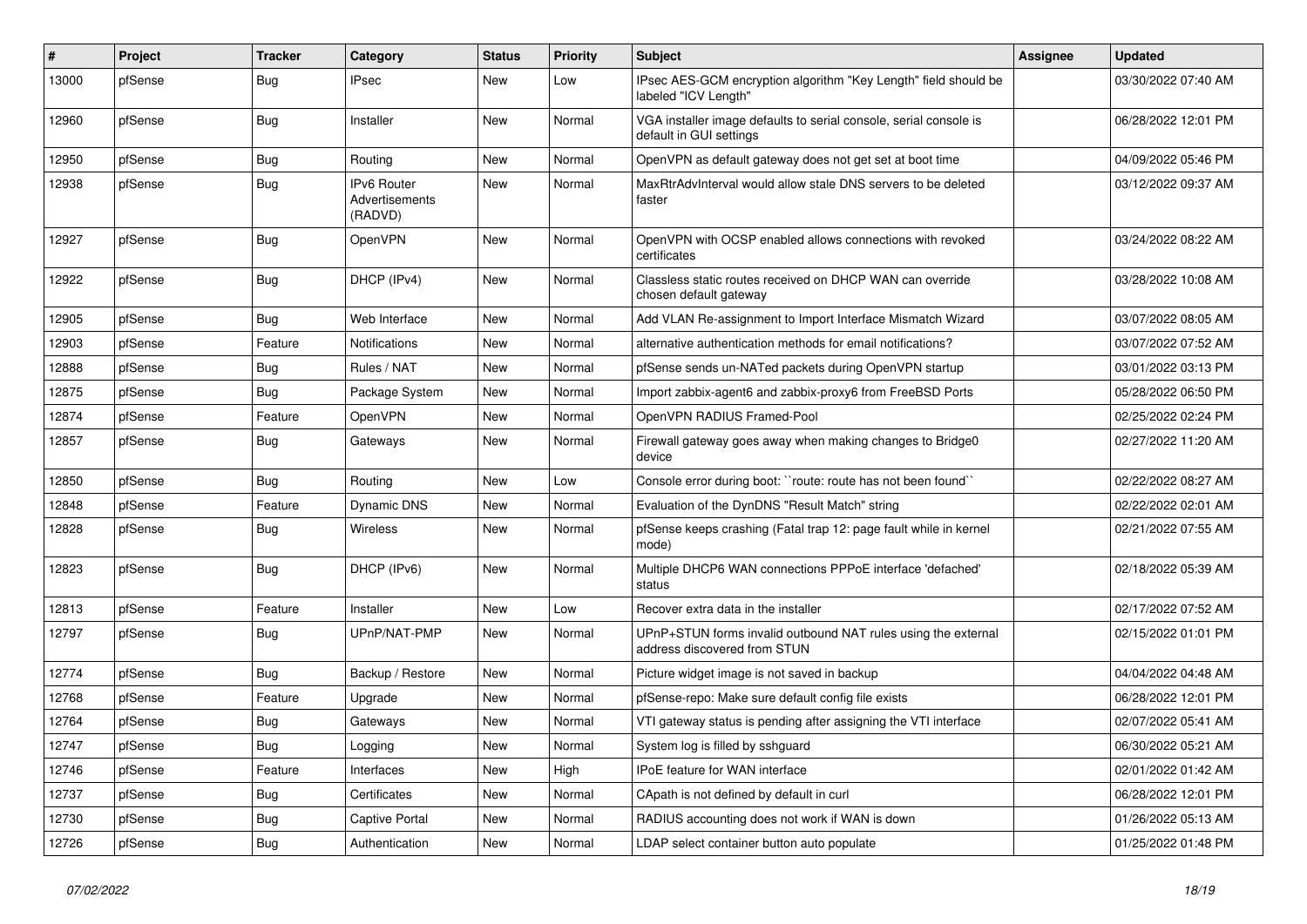| #     | Project | <b>Tracker</b> | Category                                        | <b>Status</b> | <b>Priority</b> | <b>Subject</b>                                                                                | Assignee | <b>Updated</b>      |
|-------|---------|----------------|-------------------------------------------------|---------------|-----------------|-----------------------------------------------------------------------------------------------|----------|---------------------|
| 13000 | pfSense | Bug            | <b>IPsec</b>                                    | <b>New</b>    | Low             | IPsec AES-GCM encryption algorithm "Key Length" field should be<br>labeled "ICV Length"       |          | 03/30/2022 07:40 AM |
| 12960 | pfSense | Bug            | Installer                                       | <b>New</b>    | Normal          | VGA installer image defaults to serial console, serial console is<br>default in GUI settings  |          | 06/28/2022 12:01 PM |
| 12950 | pfSense | Bug            | Routing                                         | <b>New</b>    | Normal          | OpenVPN as default gateway does not get set at boot time                                      |          | 04/09/2022 05:46 PM |
| 12938 | pfSense | Bug            | <b>IPv6 Router</b><br>Advertisements<br>(RADVD) | <b>New</b>    | Normal          | MaxRtrAdvInterval would allow stale DNS servers to be deleted<br>faster                       |          | 03/12/2022 09:37 AM |
| 12927 | pfSense | Bug            | OpenVPN                                         | <b>New</b>    | Normal          | OpenVPN with OCSP enabled allows connections with revoked<br>certificates                     |          | 03/24/2022 08:22 AM |
| 12922 | pfSense | <b>Bug</b>     | DHCP (IPv4)                                     | <b>New</b>    | Normal          | Classless static routes received on DHCP WAN can override<br>chosen default gateway           |          | 03/28/2022 10:08 AM |
| 12905 | pfSense | Bug            | Web Interface                                   | <b>New</b>    | Normal          | Add VLAN Re-assignment to Import Interface Mismatch Wizard                                    |          | 03/07/2022 08:05 AM |
| 12903 | pfSense | Feature        | Notifications                                   | <b>New</b>    | Normal          | alternative authentication methods for email notifications?                                   |          | 03/07/2022 07:52 AM |
| 12888 | pfSense | <b>Bug</b>     | Rules / NAT                                     | <b>New</b>    | Normal          | pfSense sends un-NATed packets during OpenVPN startup                                         |          | 03/01/2022 03:13 PM |
| 12875 | pfSense | Bug            | Package System                                  | New           | Normal          | Import zabbix-agent6 and zabbix-proxy6 from FreeBSD Ports                                     |          | 05/28/2022 06:50 PM |
| 12874 | pfSense | Feature        | <b>OpenVPN</b>                                  | <b>New</b>    | Normal          | OpenVPN RADIUS Framed-Pool                                                                    |          | 02/25/2022 02:24 PM |
| 12857 | pfSense | Bug            | Gateways                                        | New           | Normal          | Firewall gateway goes away when making changes to Bridge0<br>device                           |          | 02/27/2022 11:20 AM |
| 12850 | pfSense | Bug            | Routing                                         | <b>New</b>    | Low             | Console error during boot: ``route: route has not been found``                                |          | 02/22/2022 08:27 AM |
| 12848 | pfSense | Feature        | Dynamic DNS                                     | <b>New</b>    | Normal          | Evaluation of the DynDNS "Result Match" string                                                |          | 02/22/2022 02:01 AM |
| 12828 | pfSense | Bug            | <b>Wireless</b>                                 | <b>New</b>    | Normal          | pfSense keeps crashing (Fatal trap 12: page fault while in kernel<br>mode)                    |          | 02/21/2022 07:55 AM |
| 12823 | pfSense | <b>Bug</b>     | DHCP (IPv6)                                     | <b>New</b>    | Normal          | Multiple DHCP6 WAN connections PPPoE interface 'defached'<br>status                           |          | 02/18/2022 05:39 AM |
| 12813 | pfSense | Feature        | Installer                                       | <b>New</b>    | Low             | Recover extra data in the installer                                                           |          | 02/17/2022 07:52 AM |
| 12797 | pfSense | Bug            | UPnP/NAT-PMP                                    | <b>New</b>    | Normal          | UPnP+STUN forms invalid outbound NAT rules using the external<br>address discovered from STUN |          | 02/15/2022 01:01 PM |
| 12774 | pfSense | Bug            | Backup / Restore                                | New           | Normal          | Picture widget image is not saved in backup                                                   |          | 04/04/2022 04:48 AM |
| 12768 | pfSense | Feature        | Upgrade                                         | <b>New</b>    | Normal          | pfSense-repo: Make sure default config file exists                                            |          | 06/28/2022 12:01 PM |
| 12764 | pfSense | Bug            | Gateways                                        | <b>New</b>    | Normal          | VTI gateway status is pending after assigning the VTI interface                               |          | 02/07/2022 05:41 AM |
| 12747 | pfSense | Bug            | Logging                                         | <b>New</b>    | Normal          | System log is filled by sshguard                                                              |          | 06/30/2022 05:21 AM |
| 12746 | pfSense | Feature        | Interfaces                                      | New           | High            | IPoE feature for WAN interface                                                                |          | 02/01/2022 01:42 AM |
| 12737 | pfSense | <b>Bug</b>     | Certificates                                    | <b>New</b>    | Normal          | CApath is not defined by default in curl                                                      |          | 06/28/2022 12:01 PM |
| 12730 | pfSense | Bug            | Captive Portal                                  | <b>New</b>    | Normal          | RADIUS accounting does not work if WAN is down                                                |          | 01/26/2022 05:13 AM |
| 12726 | pfSense | <b>Bug</b>     | Authentication                                  | <b>New</b>    | Normal          | LDAP select container button auto populate                                                    |          | 01/25/2022 01:48 PM |